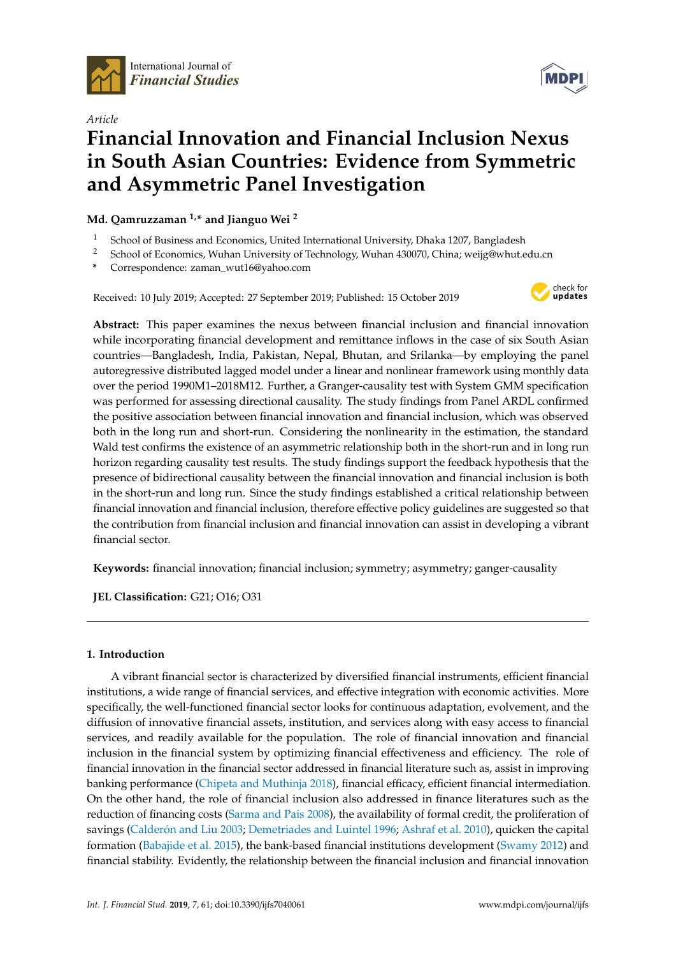



# *Article* **Financial Innovation and Financial Inclusion Nexus in South Asian Countries: Evidence from Symmetric and Asymmetric Panel Investigation**

**Md. Qamruzzaman 1,\* and Jianguo Wei <sup>2</sup>**

- 1 School of Business and Economics, United International University, Dhaka 1207, Bangladesh<br>2 School of Economics, Wuhan University of Technology, Wuhan 420070, China wajia@whyt.c
- <sup>2</sup> School of Economics, Wuhan University of Technology, Wuhan 430070, China; weijg@whut.edu.cn
- **\*** Correspondence: zaman\_wut16@yahoo.com

Received: 10 July 2019; Accepted: 27 September 2019; Published: 15 October 2019



**Abstract:** This paper examines the nexus between financial inclusion and financial innovation while incorporating financial development and remittance inflows in the case of six South Asian countries—Bangladesh, India, Pakistan, Nepal, Bhutan, and Srilanka—by employing the panel autoregressive distributed lagged model under a linear and nonlinear framework using monthly data over the period 1990M1–2018M12. Further, a Granger-causality test with System GMM specification was performed for assessing directional causality. The study findings from Panel ARDL confirmed the positive association between financial innovation and financial inclusion, which was observed both in the long run and short-run. Considering the nonlinearity in the estimation, the standard Wald test confirms the existence of an asymmetric relationship both in the short-run and in long run horizon regarding causality test results. The study findings support the feedback hypothesis that the presence of bidirectional causality between the financial innovation and financial inclusion is both in the short-run and long run. Since the study findings established a critical relationship between financial innovation and financial inclusion, therefore effective policy guidelines are suggested so that the contribution from financial inclusion and financial innovation can assist in developing a vibrant financial sector.

**Keywords:** financial innovation; financial inclusion; symmetry; asymmetry; ganger-causality

**JEL Classification:** G21; O16; O31

# **1. Introduction**

A vibrant financial sector is characterized by diversified financial instruments, efficient financial institutions, a wide range of financial services, and effective integration with economic activities. More specifically, the well-functioned financial sector looks for continuous adaptation, evolvement, and the diffusion of innovative financial assets, institution, and services along with easy access to financial services, and readily available for the population. The role of financial innovation and financial inclusion in the financial system by optimizing financial effectiveness and efficiency. The role of financial innovation in the financial sector addressed in financial literature such as, assist in improving banking performance [\(Chipeta and Muthinja](#page-22-0) [2018\)](#page-22-0), financial efficacy, efficient financial intermediation. On the other hand, the role of financial inclusion also addressed in finance literatures such as the reduction of financing costs [\(Sarma and Pais](#page-25-0) [2008\)](#page-25-0), the availability of formal credit, the proliferation of savings (Calderó[n and Liu](#page-22-1) [2003;](#page-22-1) [Demetriades and Luintel](#page-23-0) [1996;](#page-23-0) [Ashraf et al.](#page-22-2) [2010\)](#page-22-2), quicken the capital formation [\(Babajide et al.](#page-22-3) [2015\)](#page-22-3), the bank-based financial institutions development [\(Swamy](#page-26-0) [2012\)](#page-26-0) and financial stability. Evidently, the relationship between the financial inclusion and financial innovation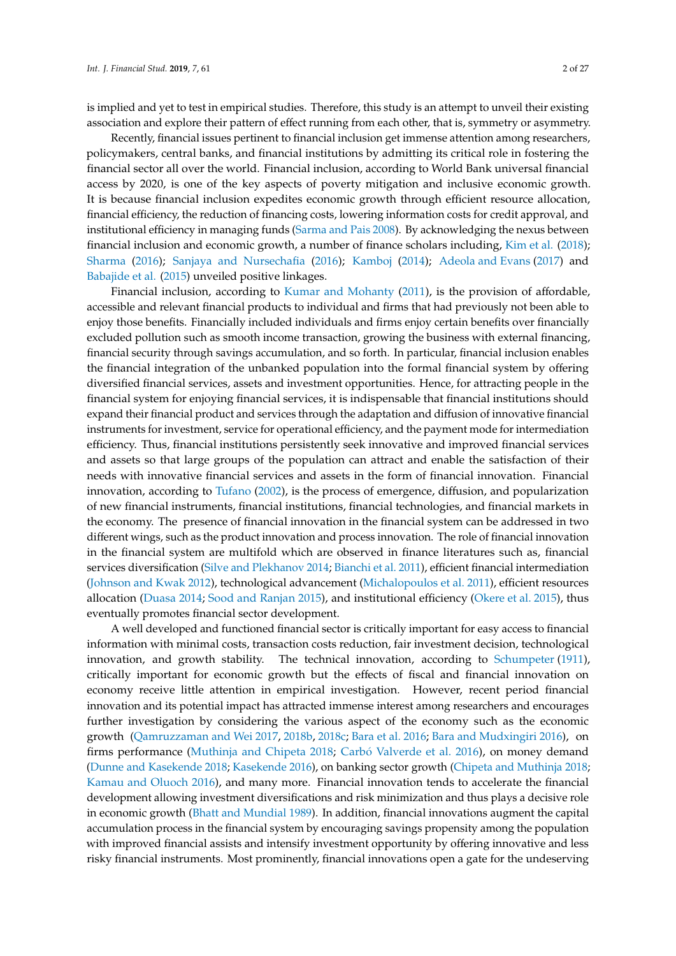is implied and yet to test in empirical studies. Therefore, this study is an attempt to unveil their existing association and explore their pattern of effect running from each other, that is, symmetry or asymmetry.

Recently, financial issues pertinent to financial inclusion get immense attention among researchers, policymakers, central banks, and financial institutions by admitting its critical role in fostering the financial sector all over the world. Financial inclusion, according to World Bank universal financial access by 2020, is one of the key aspects of poverty mitigation and inclusive economic growth. It is because financial inclusion expedites economic growth through efficient resource allocation, financial efficiency, the reduction of financing costs, lowering information costs for credit approval, and institutional efficiency in managing funds [\(Sarma and Pais](#page-25-0) [2008\)](#page-25-0). By acknowledging the nexus between financial inclusion and economic growth, a number of finance scholars including, [Kim et al.](#page-24-0) [\(2018\)](#page-24-0); [Sharma](#page-26-1) [\(2016\)](#page-26-1); [Sanjaya and Nursechafia](#page-25-1) [\(2016\)](#page-25-1); [Kamboj](#page-23-1) [\(2014\)](#page-23-1); [Adeola and Evans](#page-21-0) [\(2017\)](#page-21-0) and [Babajide et al.](#page-22-3) [\(2015\)](#page-22-3) unveiled positive linkages.

Financial inclusion, according to [Kumar and Mohanty](#page-24-1) [\(2011\)](#page-24-1), is the provision of affordable, accessible and relevant financial products to individual and firms that had previously not been able to enjoy those benefits. Financially included individuals and firms enjoy certain benefits over financially excluded pollution such as smooth income transaction, growing the business with external financing, financial security through savings accumulation, and so forth. In particular, financial inclusion enables the financial integration of the unbanked population into the formal financial system by offering diversified financial services, assets and investment opportunities. Hence, for attracting people in the financial system for enjoying financial services, it is indispensable that financial institutions should expand their financial product and services through the adaptation and diffusion of innovative financial instruments for investment, service for operational efficiency, and the payment mode for intermediation efficiency. Thus, financial institutions persistently seek innovative and improved financial services and assets so that large groups of the population can attract and enable the satisfaction of their needs with innovative financial services and assets in the form of financial innovation. Financial innovation, according to [Tufano](#page-26-2) [\(2002\)](#page-26-2), is the process of emergence, diffusion, and popularization of new financial instruments, financial institutions, financial technologies, and financial markets in the economy. The presence of financial innovation in the financial system can be addressed in two different wings, such as the product innovation and process innovation. The role of financial innovation in the financial system are multifold which are observed in finance literatures such as, financial services diversification [\(Silve and Plekhanov](#page-26-3) [2014;](#page-26-3) [Bianchi et al.](#page-22-4) [2011\)](#page-22-4), efficient financial intermediation [\(Johnson and Kwak](#page-23-2) [2012\)](#page-23-2), technological advancement [\(Michalopoulos et al.](#page-24-2) [2011\)](#page-24-2), efficient resources allocation [\(Duasa](#page-23-3) [2014;](#page-23-3) [Sood and Ranjan](#page-26-4) [2015\)](#page-26-4), and institutional efficiency [\(Okere et al.](#page-24-3) [2015\)](#page-24-3), thus eventually promotes financial sector development.

A well developed and functioned financial sector is critically important for easy access to financial information with minimal costs, transaction costs reduction, fair investment decision, technological innovation, and growth stability. The technical innovation, according to [Schumpeter](#page-25-2) [\(1911\)](#page-25-2), critically important for economic growth but the effects of fiscal and financial innovation on economy receive little attention in empirical investigation. However, recent period financial innovation and its potential impact has attracted immense interest among researchers and encourages further investigation by considering the various aspect of the economy such as the economic growth [\(Qamruzzaman and Wei](#page-25-3) [2017,](#page-25-3) [2018b,](#page-25-4) [2018c;](#page-25-5) [Bara et al.](#page-22-5) [2016;](#page-22-5) [Bara and Mudxingiri](#page-22-6) [2016\)](#page-22-6), on firms performance [\(Muthinja and Chipeta](#page-24-4) [2018;](#page-24-4) Carbó [Valverde et al.](#page-26-5) [2016\)](#page-26-5), on money demand [\(Dunne and Kasekende](#page-23-4) [2018;](#page-23-4) [Kasekende](#page-23-5) [2016\)](#page-23-5), on banking sector growth [\(Chipeta and Muthinja](#page-22-0) [2018;](#page-22-0) [Kamau and Oluoch](#page-23-6) [2016\)](#page-23-6), and many more. Financial innovation tends to accelerate the financial development allowing investment diversifications and risk minimization and thus plays a decisive role in economic growth [\(Bhatt and Mundial](#page-22-7) [1989\)](#page-22-7). In addition, financial innovations augment the capital accumulation process in the financial system by encouraging savings propensity among the population with improved financial assists and intensify investment opportunity by offering innovative and less risky financial instruments. Most prominently, financial innovations open a gate for the undeserving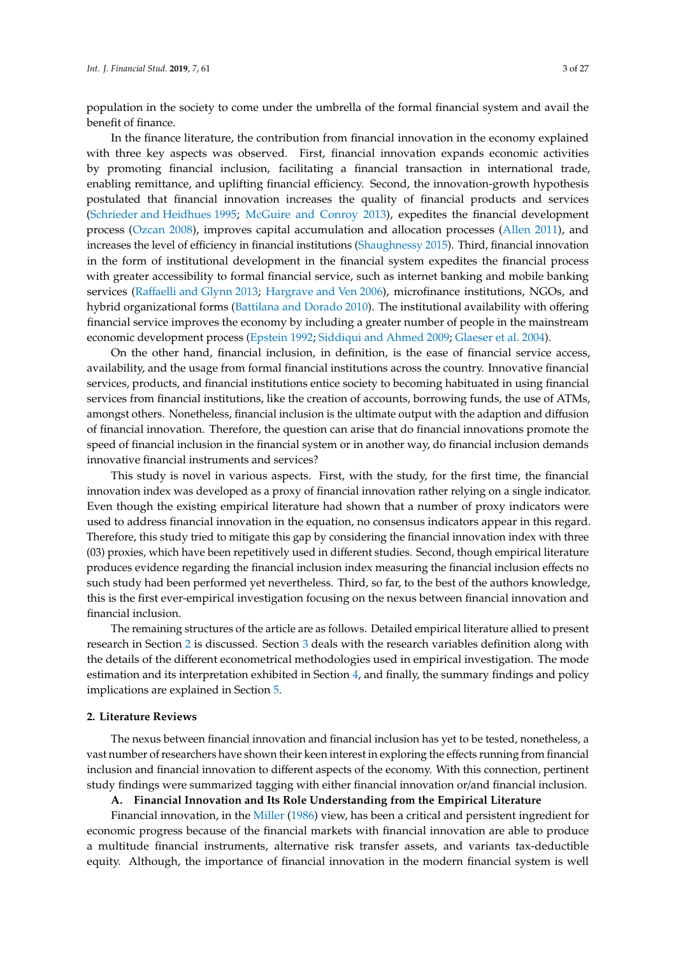population in the society to come under the umbrella of the formal financial system and avail the benefit of finance.

In the finance literature, the contribution from financial innovation in the economy explained with three key aspects was observed. First, financial innovation expands economic activities by promoting financial inclusion, facilitating a financial transaction in international trade, enabling remittance, and uplifting financial efficiency. Second, the innovation-growth hypothesis postulated that financial innovation increases the quality of financial products and services [\(Schrieder and Heidhues](#page-25-6) [1995;](#page-25-6) [McGuire and Conroy](#page-24-5) [2013\)](#page-24-5), expedites the financial development process [\(Ozcan](#page-25-7) [2008\)](#page-25-7), improves capital accumulation and allocation processes [\(Allen](#page-21-1) [2011\)](#page-21-1), and increases the level of efficiency in financial institutions [\(Shaughnessy](#page-26-6) [2015\)](#page-26-6). Third, financial innovation in the form of institutional development in the financial system expedites the financial process with greater accessibility to formal financial service, such as internet banking and mobile banking services (Raff[aelli and Glynn](#page-25-8) [2013;](#page-25-8) [Hargrave and Ven](#page-23-7) [2006\)](#page-23-7), microfinance institutions, NGOs, and hybrid organizational forms [\(Battilana and Dorado](#page-22-8) [2010\)](#page-22-8). The institutional availability with offering financial service improves the economy by including a greater number of people in the mainstream economic development process [\(Epstein](#page-23-8) [1992;](#page-23-8) [Siddiqui and Ahmed](#page-26-7) [2009;](#page-26-7) [Glaeser et al.](#page-23-9) [2004\)](#page-23-9).

On the other hand, financial inclusion, in definition, is the ease of financial service access, availability, and the usage from formal financial institutions across the country. Innovative financial services, products, and financial institutions entice society to becoming habituated in using financial services from financial institutions, like the creation of accounts, borrowing funds, the use of ATMs, amongst others. Nonetheless, financial inclusion is the ultimate output with the adaption and diffusion of financial innovation. Therefore, the question can arise that do financial innovations promote the speed of financial inclusion in the financial system or in another way, do financial inclusion demands innovative financial instruments and services?

This study is novel in various aspects. First, with the study, for the first time, the financial innovation index was developed as a proxy of financial innovation rather relying on a single indicator. Even though the existing empirical literature had shown that a number of proxy indicators were used to address financial innovation in the equation, no consensus indicators appear in this regard. Therefore, this study tried to mitigate this gap by considering the financial innovation index with three (03) proxies, which have been repetitively used in different studies. Second, though empirical literature produces evidence regarding the financial inclusion index measuring the financial inclusion effects no such study had been performed yet nevertheless. Third, so far, to the best of the authors knowledge, this is the first ever-empirical investigation focusing on the nexus between financial innovation and financial inclusion.

The remaining structures of the article are as follows. Detailed empirical literature allied to present research in Section [2](#page-2-0) is discussed. Section [3](#page-6-0) deals with the research variables definition along with the details of the different econometrical methodologies used in empirical investigation. The mode estimation and its interpretation exhibited in Section [4,](#page-11-0) and finally, the summary findings and policy implications are explained in Section [5.](#page-18-0)

#### <span id="page-2-0"></span>**2. Literature Reviews**

The nexus between financial innovation and financial inclusion has yet to be tested, nonetheless, a vast number of researchers have shown their keen interest in exploring the effects running from financial inclusion and financial innovation to different aspects of the economy. With this connection, pertinent study findings were summarized tagging with either financial innovation or/and financial inclusion.

### **A. Financial Innovation and Its Role Understanding from the Empirical Literature**

Financial innovation, in the [Miller](#page-24-6) [\(1986\)](#page-24-6) view, has been a critical and persistent ingredient for economic progress because of the financial markets with financial innovation are able to produce a multitude financial instruments, alternative risk transfer assets, and variants tax-deductible equity. Although, the importance of financial innovation in the modern financial system is well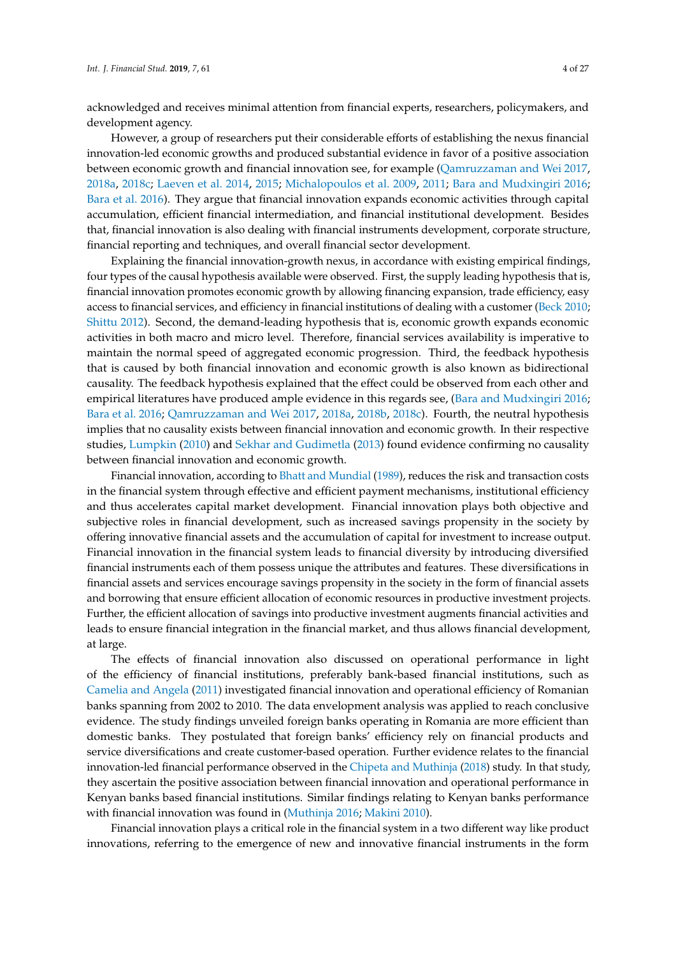acknowledged and receives minimal attention from financial experts, researchers, policymakers, and development agency.

However, a group of researchers put their considerable efforts of establishing the nexus financial innovation-led economic growths and produced substantial evidence in favor of a positive association between economic growth and financial innovation see, for example [\(Qamruzzaman and Wei](#page-25-3) [2017,](#page-25-3) [2018a,](#page-25-9) [2018c;](#page-25-5) [Laeven et al.](#page-24-7) [2014,](#page-24-7) [2015;](#page-24-8) [Michalopoulos et al.](#page-24-9) [2009,](#page-24-9) [2011;](#page-24-2) [Bara and Mudxingiri](#page-22-6) [2016;](#page-22-6) [Bara et al.](#page-22-5) [2016\)](#page-22-5). They argue that financial innovation expands economic activities through capital accumulation, efficient financial intermediation, and financial institutional development. Besides that, financial innovation is also dealing with financial instruments development, corporate structure, financial reporting and techniques, and overall financial sector development.

Explaining the financial innovation-growth nexus, in accordance with existing empirical findings, four types of the causal hypothesis available were observed. First, the supply leading hypothesis that is, financial innovation promotes economic growth by allowing financing expansion, trade efficiency, easy access to financial services, and efficiency in financial institutions of dealing with a customer [\(Beck](#page-22-9) [2010;](#page-22-9) [Shittu](#page-26-8) [2012\)](#page-26-8). Second, the demand-leading hypothesis that is, economic growth expands economic activities in both macro and micro level. Therefore, financial services availability is imperative to maintain the normal speed of aggregated economic progression. Third, the feedback hypothesis that is caused by both financial innovation and economic growth is also known as bidirectional causality. The feedback hypothesis explained that the effect could be observed from each other and empirical literatures have produced ample evidence in this regards see, [\(Bara and Mudxingiri](#page-22-6) [2016;](#page-22-6) [Bara et al.](#page-22-5) [2016;](#page-22-5) [Qamruzzaman and Wei](#page-25-3) [2017,](#page-25-3) [2018a,](#page-25-9) [2018b,](#page-25-4) [2018c\)](#page-25-5). Fourth, the neutral hypothesis implies that no causality exists between financial innovation and economic growth. In their respective studies, [Lumpkin](#page-24-10) [\(2010\)](#page-24-10) and [Sekhar and Gudimetla](#page-26-9) [\(2013\)](#page-26-9) found evidence confirming no causality between financial innovation and economic growth.

Financial innovation, according to [Bhatt and Mundial](#page-22-7) [\(1989\)](#page-22-7), reduces the risk and transaction costs in the financial system through effective and efficient payment mechanisms, institutional efficiency and thus accelerates capital market development. Financial innovation plays both objective and subjective roles in financial development, such as increased savings propensity in the society by offering innovative financial assets and the accumulation of capital for investment to increase output. Financial innovation in the financial system leads to financial diversity by introducing diversified financial instruments each of them possess unique the attributes and features. These diversifications in financial assets and services encourage savings propensity in the society in the form of financial assets and borrowing that ensure efficient allocation of economic resources in productive investment projects. Further, the efficient allocation of savings into productive investment augments financial activities and leads to ensure financial integration in the financial market, and thus allows financial development, at large.

The effects of financial innovation also discussed on operational performance in light of the efficiency of financial institutions, preferably bank-based financial institutions, such as [Camelia and Angela](#page-22-10) [\(2011\)](#page-22-10) investigated financial innovation and operational efficiency of Romanian banks spanning from 2002 to 2010. The data envelopment analysis was applied to reach conclusive evidence. The study findings unveiled foreign banks operating in Romania are more efficient than domestic banks. They postulated that foreign banks' efficiency rely on financial products and service diversifications and create customer-based operation. Further evidence relates to the financial innovation-led financial performance observed in the [Chipeta and Muthinja](#page-22-0) [\(2018\)](#page-22-0) study. In that study, they ascertain the positive association between financial innovation and operational performance in Kenyan banks based financial institutions. Similar findings relating to Kenyan banks performance with financial innovation was found in [\(Muthinja](#page-24-11) [2016;](#page-24-11) [Makini](#page-24-12) [2010\)](#page-24-12).

Financial innovation plays a critical role in the financial system in a two different way like product innovations, referring to the emergence of new and innovative financial instruments in the form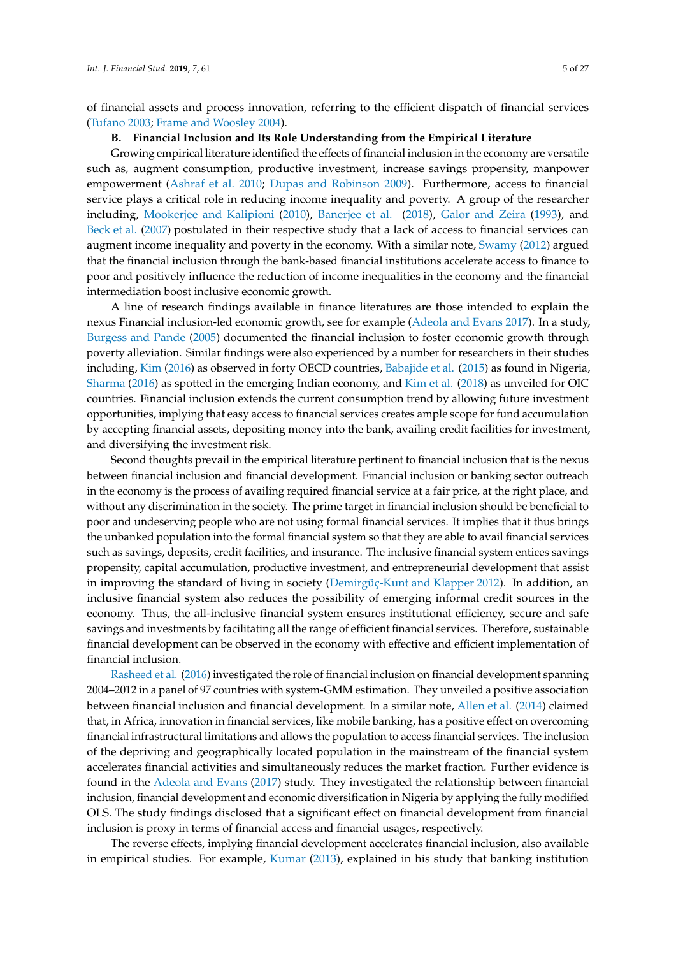of financial assets and process innovation, referring to the efficient dispatch of financial services [\(Tufano](#page-26-10) [2003;](#page-26-10) [Frame and Woosley](#page-23-10) [2004\)](#page-23-10).

#### **B. Financial Inclusion and Its Role Understanding from the Empirical Literature**

Growing empirical literature identified the effects of financial inclusion in the economy are versatile such as, augment consumption, productive investment, increase savings propensity, manpower empowerment [\(Ashraf et al.](#page-22-2) [2010;](#page-22-2) [Dupas and Robinson](#page-23-11) [2009\)](#page-23-11). Furthermore, access to financial service plays a critical role in reducing income inequality and poverty. A group of the researcher including, [Mookerjee and Kalipioni](#page-24-13) [\(2010\)](#page-24-13), [Banerjee et al.](#page-22-11) [\(2018\)](#page-22-11), [Galor and Zeira](#page-23-12) [\(1993\)](#page-23-12), and [Beck et al.](#page-22-12) [\(2007\)](#page-22-12) postulated in their respective study that a lack of access to financial services can augment income inequality and poverty in the economy. With a similar note, [Swamy](#page-26-0) [\(2012\)](#page-26-0) argued that the financial inclusion through the bank-based financial institutions accelerate access to finance to poor and positively influence the reduction of income inequalities in the economy and the financial intermediation boost inclusive economic growth.

A line of research findings available in finance literatures are those intended to explain the nexus Financial inclusion-led economic growth, see for example [\(Adeola and Evans](#page-21-0) [2017\)](#page-21-0). In a study, [Burgess and Pande](#page-22-13) [\(2005\)](#page-22-13) documented the financial inclusion to foster economic growth through poverty alleviation. Similar findings were also experienced by a number for researchers in their studies including, [Kim](#page-24-14) [\(2016\)](#page-24-14) as observed in forty OECD countries, [Babajide et al.](#page-22-3) [\(2015\)](#page-22-3) as found in Nigeria, [Sharma](#page-26-1) [\(2016\)](#page-26-1) as spotted in the emerging Indian economy, and [Kim et al.](#page-24-0) [\(2018\)](#page-24-0) as unveiled for OIC countries. Financial inclusion extends the current consumption trend by allowing future investment opportunities, implying that easy access to financial services creates ample scope for fund accumulation by accepting financial assets, depositing money into the bank, availing credit facilities for investment, and diversifying the investment risk.

Second thoughts prevail in the empirical literature pertinent to financial inclusion that is the nexus between financial inclusion and financial development. Financial inclusion or banking sector outreach in the economy is the process of availing required financial service at a fair price, at the right place, and without any discrimination in the society. The prime target in financial inclusion should be beneficial to poor and undeserving people who are not using formal financial services. It implies that it thus brings the unbanked population into the formal financial system so that they are able to avail financial services such as savings, deposits, credit facilities, and insurance. The inclusive financial system entices savings propensity, capital accumulation, productive investment, and entrepreneurial development that assist in improving the standard of living in society [\(Demirgüç-Kunt and Klapper](#page-23-13) [2012\)](#page-23-13). In addition, an inclusive financial system also reduces the possibility of emerging informal credit sources in the economy. Thus, the all-inclusive financial system ensures institutional efficiency, secure and safe savings and investments by facilitating all the range of efficient financial services. Therefore, sustainable financial development can be observed in the economy with effective and efficient implementation of financial inclusion.

[Rasheed et al.](#page-25-10) [\(2016\)](#page-25-10) investigated the role of financial inclusion on financial development spanning 2004–2012 in a panel of 97 countries with system-GMM estimation. They unveiled a positive association between financial inclusion and financial development. In a similar note, [Allen et al.](#page-21-2) [\(2014\)](#page-21-2) claimed that, in Africa, innovation in financial services, like mobile banking, has a positive effect on overcoming financial infrastructural limitations and allows the population to access financial services. The inclusion of the depriving and geographically located population in the mainstream of the financial system accelerates financial activities and simultaneously reduces the market fraction. Further evidence is found in the [Adeola and Evans](#page-21-0) [\(2017\)](#page-21-0) study. They investigated the relationship between financial inclusion, financial development and economic diversification in Nigeria by applying the fully modified OLS. The study findings disclosed that a significant effect on financial development from financial inclusion is proxy in terms of financial access and financial usages, respectively.

The reverse effects, implying financial development accelerates financial inclusion, also available in empirical studies. For example, [Kumar](#page-24-15) [\(2013\)](#page-24-15), explained in his study that banking institution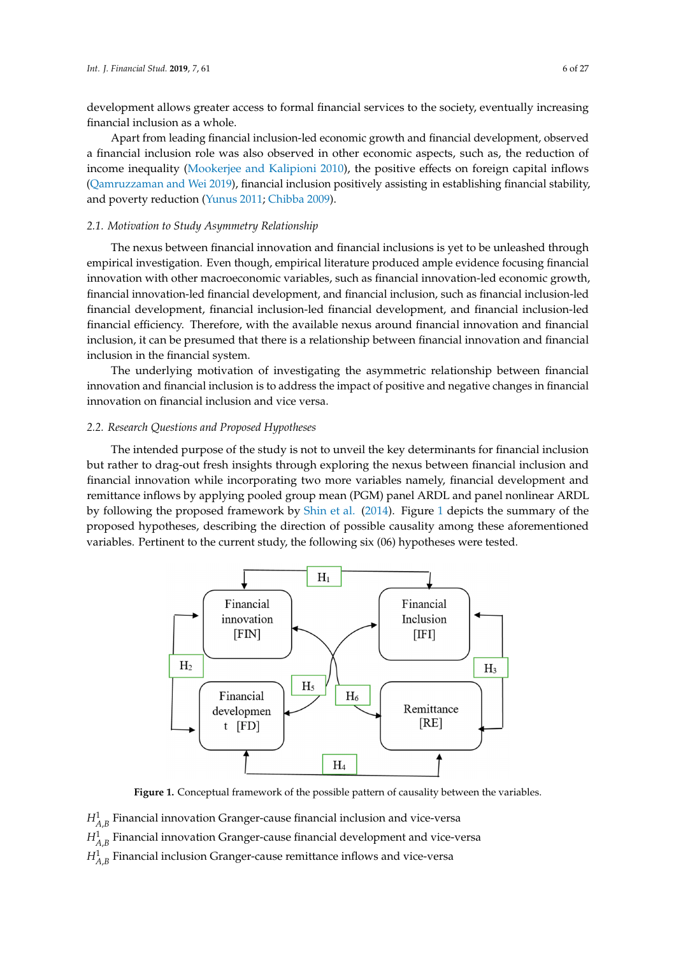development allows greater access to formal financial services to the society, eventually increasing financial inclusion as a whole.

Apart from leading financial inclusion-led economic growth and financial development, observed a financial inclusion role was also observed in other economic aspects, such as, the reduction of income inequality [\(Mookerjee and Kalipioni](#page-24-13) [2010\)](#page-24-13), the positive effects on foreign capital inflows [\(Qamruzzaman and Wei](#page-25-11) [2019\)](#page-25-11), financial inclusion positively assisting in establishing financial stability, and poverty reduction [\(Yunus](#page-26-11) [2011;](#page-26-11) [Chibba](#page-22-14) [2009\)](#page-22-14).

# *2.1. Motivation to Study Asymmetry Relationship 2.1. Motivation to Study Asymmetry Relationship*

The nexus between financial innovation and financial inclusions is yet to be unleashed through The nexus between financial innovation and financial inclusions is yet to be unleashed through empirical investigation. Even though, empirical literature produced ample evidence focusing financial innovation with other macroeconomic variables, such as financial innovation-led economic growth, financial innovation-led financial development, and financial inclusion, such as financial inclusion-led financial development, financial inclusion-led financial development, and financial inclusion-led financial efficiency. Therefore, with the available nexus around financial innovation and financial inclusion, it can be presumed that there is a relationship between financial innovation and financial inclusion in the financial system.

The underlying motivation of investigating the asymmetric relationship between financial The underlying motivation of investigating the asymmetric relationship between financial innovation and financial inclusion is to address the impact of positive and negative changes in financial innovation and financial inclusion is to address the impact of positive and negative changes in innovation on financial inclusion and vice versa. financial innovation on financial inclusion and vice versa.

#### *2.2. Research Questions and Proposed Hypotheses 2.2. Research Questions and Proposed Hypotheses*

The intended purpose of the study is not to unveil the key determinants for financial inclusion The intended purpose of the study is not to unveil the key determinants for financial inclusion but rather to drag-out fresh insights through exploring the nexus between financial inclusion and but rather to drag-out fresh insights through exploring the nexus between financial inclusion and financial innovation while incorporating two more variables namely, financial development and financial innovation while incorporating two more variables namely, financial development and remittance inflows by applying pooled group mean (PGM) panel ARDL and panel nonlinear ARDL by following the proposed framework by Shin et al. [\(2014\)](#page-26-12). Figure 1 depicts the summary of the by following the proposed framework by [Shin et al.](#page-26-12) (2014). Figure [1](#page-5-0) depicts the summary of the proposed hypotheses, describing the direction of possible causality among these aforementioned proposed hypotheses, describing the direction of possible causality among these aforementioned variables. Pertinent to the current study, the following six (06) hypotheses were tested. variables. Pertinent to the current study, the following six (06) hypotheses were tested.

<span id="page-5-0"></span>

**Figure 1.** Conceptual framework of the possible pattern of causality between the variables. **Figure 1.** Conceptual framework of the possible pattern of causality between the variables.

 $H^1_{A,B}$  Financial innovation Granger-cause financial inclusion and vice-versa  $H^1_{A,B}$  Financial innovation Granger-cause financial development and vice-versa

 $H^1$  Financial inclusion Granger-cause remittance inflows and vice-versa  $R_{A,B}$  demonstration development  $S$  and  $S$  cause remittance inflows and vice-versa.  $H^1_{A,B}$  Financial inclusion Granger-cause remittance inflows and vice-versa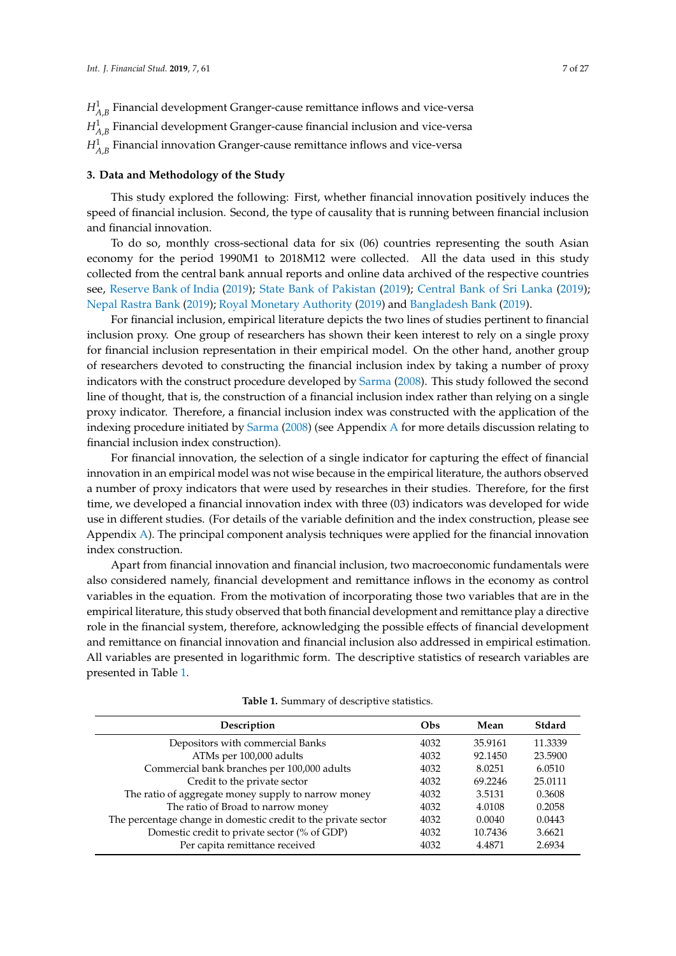# $H^1_{A,B}$  Financial innovation Granger-cause remittance inflows and vice-versa

## <span id="page-6-0"></span>**3. Data and Methodology of the Study**

This study explored the following: First, whether financial innovation positively induces the speed of financial inclusion. Second, the type of causality that is running between financial inclusion and financial innovation.

To do so, monthly cross-sectional data for six (06) countries representing the south Asian economy for the period 1990M1 to 2018M12 were collected. All the data used in this study collected from the central bank annual reports and online data archived of the respective countries see, [Reserve Bank of India](#page-25-12) [\(2019\)](#page-25-12); [State Bank of Pakistan](#page-26-13) [\(2019\)](#page-26-13); [Central Bank of Sri Lanka](#page-22-15) [\(2019\)](#page-22-15); [Nepal Rastra Bank](#page-25-13) [\(2019\)](#page-25-13); [Royal Monetary Authority](#page-25-14) [\(2019\)](#page-25-14) and [Bangladesh Bank](#page-22-16) [\(2019\)](#page-22-16).

For financial inclusion, empirical literature depicts the two lines of studies pertinent to financial inclusion proxy. One group of researchers has shown their keen interest to rely on a single proxy for financial inclusion representation in their empirical model. On the other hand, another group of researchers devoted to constructing the financial inclusion index by taking a number of proxy indicators with the construct procedure developed by [Sarma](#page-25-15) [\(2008\)](#page-25-15). This study followed the second line of thought, that is, the construction of a financial inclusion index rather than relying on a single proxy indicator. Therefore, a financial inclusion index was constructed with the application of the indexing procedure initiated by [Sarma](#page-25-15) [\(2008\)](#page-25-15) (see Appendix [A](#page-19-0) for more details discussion relating to financial inclusion index construction).

For financial innovation, the selection of a single indicator for capturing the effect of financial innovation in an empirical model was not wise because in the empirical literature, the authors observed a number of proxy indicators that were used by researches in their studies. Therefore, for the first time, we developed a financial innovation index with three (03) indicators was developed for wide use in different studies. (For details of the variable definition and the index construction, please see Appendix [A\)](#page-19-0). The principal component analysis techniques were applied for the financial innovation index construction.

Apart from financial innovation and financial inclusion, two macroeconomic fundamentals were also considered namely, financial development and remittance inflows in the economy as control variables in the equation. From the motivation of incorporating those two variables that are in the empirical literature, this study observed that both financial development and remittance play a directive role in the financial system, therefore, acknowledging the possible effects of financial development and remittance on financial innovation and financial inclusion also addressed in empirical estimation. All variables are presented in logarithmic form. The descriptive statistics of research variables are presented in Table [1.](#page-6-1)

<span id="page-6-1"></span>

| Description                                                    | Obs  | Mean    | Stdard  |
|----------------------------------------------------------------|------|---------|---------|
| Depositors with commercial Banks                               | 4032 | 35.9161 | 11.3339 |
| ATMs per 100,000 adults                                        | 4032 | 92.1450 | 23.5900 |
| Commercial bank branches per 100,000 adults                    | 4032 | 8.0251  | 6.0510  |
| Credit to the private sector                                   | 4032 | 69.2246 | 25.0111 |
| The ratio of aggregate money supply to narrow money            | 4032 | 3.5131  | 0.3608  |
| The ratio of Broad to narrow money                             | 4032 | 4.0108  | 0.2058  |
| The percentage change in domestic credit to the private sector | 4032 | 0.0040  | 0.0443  |
| Domestic credit to private sector (% of GDP)                   | 4032 | 10.7436 | 3.6621  |
| Per capita remittance received                                 | 4032 | 4.4871  | 2.6934  |
|                                                                |      |         |         |

**Table 1.** Summary of descriptive statistics.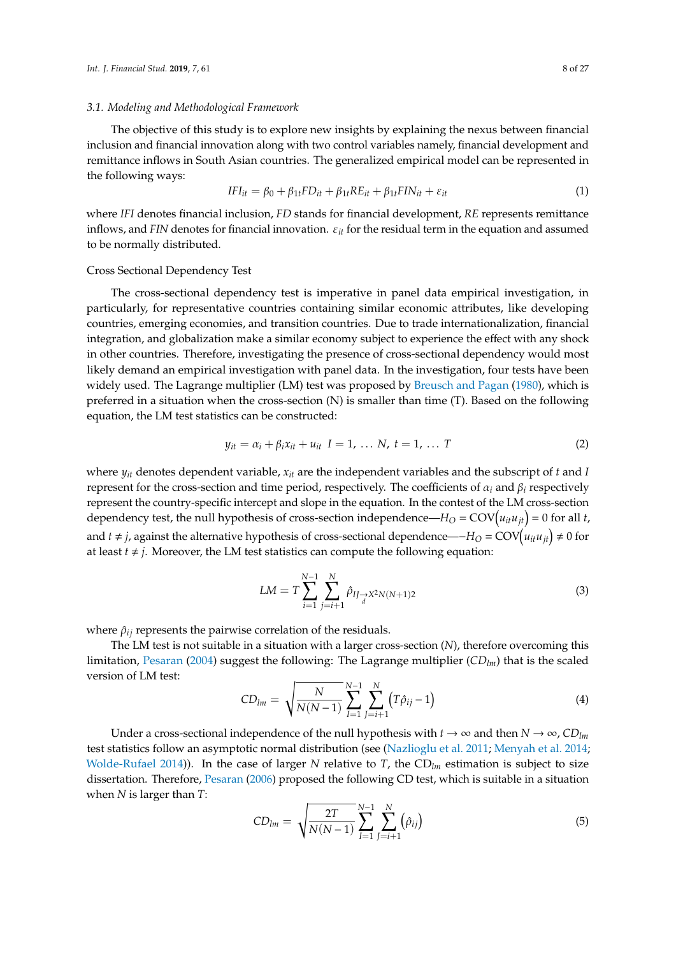#### *3.1. Modeling and Methodological Framework*

The objective of this study is to explore new insights by explaining the nexus between financial inclusion and financial innovation along with two control variables namely, financial development and remittance inflows in South Asian countries. The generalized empirical model can be represented in the following ways:

$$
IFI_{it} = \beta_0 + \beta_{1t} FD_{it} + \beta_{1t} RE_{it} + \beta_{1t} FIN_{it} + \varepsilon_{it}
$$
\n
$$
\tag{1}
$$

where *IFI* denotes financial inclusion, *FD* stands for financial development, *RE* represents remittance inflows, and *FIN* denotes for financial innovation. ε*it* for the residual term in the equation and assumed to be normally distributed.

#### Cross Sectional Dependency Test

The cross-sectional dependency test is imperative in panel data empirical investigation, in particularly, for representative countries containing similar economic attributes, like developing countries, emerging economies, and transition countries. Due to trade internationalization, financial integration, and globalization make a similar economy subject to experience the effect with any shock in other countries. Therefore, investigating the presence of cross-sectional dependency would most likely demand an empirical investigation with panel data. In the investigation, four tests have been widely used. The Lagrange multiplier (LM) test was proposed by [Breusch and Pagan](#page-22-17) [\(1980\)](#page-22-17), which is preferred in a situation when the cross-section (N) is smaller than time (T). Based on the following equation, the LM test statistics can be constructed:

$$
y_{it} = \alpha_i + \beta_i x_{it} + u_{it} \quad I = 1, \ldots N, \quad t = 1, \ldots T
$$
 (2)

where  $y_{it}$  denotes dependent variable,  $x_{it}$  are the independent variables and the subscript of *t* and *I* represent for the cross-section and time period, respectively. The coefficients of α*<sup>i</sup>* and β*<sup>i</sup>* respectively represent the country-specific intercept and slope in the equation. In the contest of the LM cross-section dependency test, the null hypothesis of cross-section independence— $H_O = \text{COV}(u_{it}u_{jt}) = 0$  for all *t*, and *t* ≠ *j*, against the alternative hypothesis of cross-sectional dependence—−*H*<sub>O</sub> = COV $(u_{it}u_{jt})$  ≠ 0 for at least  $t \neq j$ . Moreover, the LM test statistics can compute the following equation:

$$
LM = T \sum_{i=1}^{N-1} \sum_{j=i+1}^{N} \hat{\rho}_{IJ \to X^2 N(N+1)2}
$$
 (3)

where  $\hat{\rho}_{ij}$  represents the pairwise correlation of the residuals.

The LM test is not suitable in a situation with a larger cross-section (*N*), therefore overcoming this limitation, [Pesaran](#page-25-16) [\(2004\)](#page-25-16) suggest the following: The Lagrange multiplier (*CDlm*) that is the scaled version of LM test:

$$
CD_{lm} = \sqrt{\frac{N}{N(N-1)}} \sum_{I=1}^{N-1} \sum_{j=i+1}^{N} (T\hat{\rho}_{ij} - 1)
$$
 (4)

Under a cross-sectional independence of the null hypothesis with  $t \to \infty$  and then  $N \to \infty$ ,  $CD_{lm}$ test statistics follow an asymptotic normal distribution (see [\(Nazlioglu et al.](#page-24-16) [2011;](#page-24-16) [Menyah et al.](#page-24-17) [2014;](#page-24-17) [Wolde-Rufael](#page-26-14) [2014\)](#page-26-14)). In the case of larger *N* relative to *T*, the CD*lm* estimation is subject to size dissertation. Therefore, [Pesaran](#page-25-17) [\(2006\)](#page-25-17) proposed the following CD test, which is suitable in a situation when *N* is larger than *T*:

$$
CD_{lm} = \sqrt{\frac{2T}{N(N-1)}} \sum_{I=1}^{N-1} \sum_{J=i+1}^{N} (\hat{\rho}_{ij})
$$
 (5)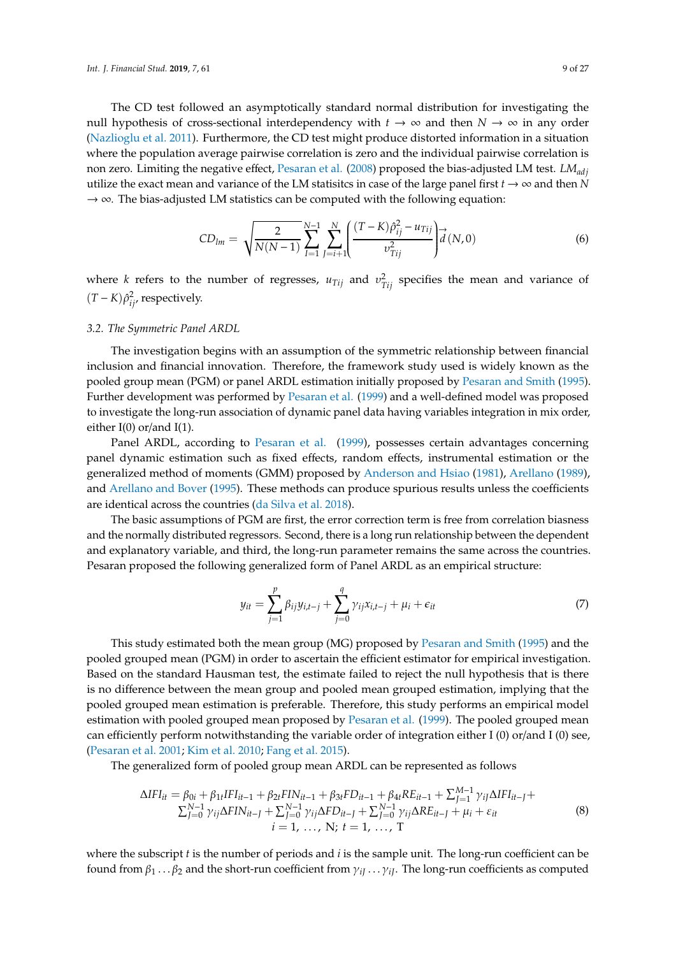The CD test followed an asymptotically standard normal distribution for investigating the null hypothesis of cross-sectional interdependency with  $t \to \infty$  and then  $N \to \infty$  in any order [\(Nazlioglu et al.](#page-24-16) [2011\)](#page-24-16). Furthermore, the CD test might produce distorted information in a situation where the population average pairwise correlation is zero and the individual pairwise correlation is non zero. Limiting the negative effect, [Pesaran et al.](#page-25-18) [\(2008\)](#page-25-18) proposed the bias-adjusted LM test. *LMadj* utilize the exact mean and variance of the LM statisitcs in case of the large panel first  $t \to \infty$  and then *N* → ∞*.* The bias-adjusted LM statistics can be computed with the following equation:

$$
CD_{lm} = \sqrt{\frac{2}{N(N-1)}} \sum_{I=1}^{N-1} \sum_{J=i+1}^{N} \left( \frac{(T-K)\hat{\rho}_{ij}^2 - u_{Tij}}{v_{Tij}^2} \right) d(N,0) \tag{6}
$$

where *k* refers to the number of regresses,  $u_{Tij}$  and  $v_{Tij}^2$  specifies the mean and variance of  $(T - K)\hat{\rho}_{ij}^2$ , respectively.

#### *3.2. The Symmetric Panel ARDL*

The investigation begins with an assumption of the symmetric relationship between financial inclusion and financial innovation. Therefore, the framework study used is widely known as the pooled group mean (PGM) or panel ARDL estimation initially proposed by [Pesaran and Smith](#page-25-19) [\(1995\)](#page-25-19). Further development was performed by [Pesaran et al.](#page-25-20) [\(1999\)](#page-25-20) and a well-defined model was proposed to investigate the long-run association of dynamic panel data having variables integration in mix order, either  $I(0)$  or/and  $I(1)$ .

Panel ARDL, according to [Pesaran et al.](#page-25-20) [\(1999\)](#page-25-20), possesses certain advantages concerning panel dynamic estimation such as fixed effects, random effects, instrumental estimation or the generalized method of moments (GMM) proposed by [Anderson and Hsiao](#page-21-3) [\(1981\)](#page-21-3), [Arellano](#page-21-4) [\(1989\)](#page-21-4), and [Arellano and Bover](#page-22-18) [\(1995\)](#page-22-18). These methods can produce spurious results unless the coefficients are identical across the countries [\(da Silva et al.](#page-23-14) [2018\)](#page-23-14).

The basic assumptions of PGM are first, the error correction term is free from correlation biasness and the normally distributed regressors. Second, there is a long run relationship between the dependent and explanatory variable, and third, the long-run parameter remains the same across the countries. Pesaran proposed the following generalized form of Panel ARDL as an empirical structure:

$$
y_{it} = \sum_{j=1}^{p} \beta_{ij} y_{i,t-j} + \sum_{j=0}^{q} \gamma_{ij} x_{i,t-j} + \mu_i + \epsilon_{it}
$$
 (7)

This study estimated both the mean group (MG) proposed by [Pesaran and Smith](#page-25-19) [\(1995\)](#page-25-19) and the pooled grouped mean (PGM) in order to ascertain the efficient estimator for empirical investigation. Based on the standard Hausman test, the estimate failed to reject the null hypothesis that is there is no difference between the mean group and pooled mean grouped estimation, implying that the pooled grouped mean estimation is preferable. Therefore, this study performs an empirical model estimation with pooled grouped mean proposed by [Pesaran et al.](#page-25-20) [\(1999\)](#page-25-20). The pooled grouped mean can efficiently perform notwithstanding the variable order of integration either I (0) or/and I (0) see, [\(Pesaran et al.](#page-25-21) [2001;](#page-25-21) [Kim et al.](#page-23-15) [2010;](#page-23-15) [Fang et al.](#page-23-16) [2015\)](#page-23-16).

The generalized form of pooled group mean ARDL can be represented as follows

$$
\Delta IFI_{it} = \beta_{0i} + \beta_{1t} IFI_{it-1} + \beta_{2t} FIN_{it-1} + \beta_{3t} FD_{it-1} + \beta_{4t} RE_{it-1} + \sum_{j=1}^{M-1} \gamma_{ij} \Delta IFI_{it-j} + \sum_{j=0}^{N-1} \gamma_{ij} \Delta FIN_{it-j} + \sum_{j=0}^{N-1} \gamma_{ij} \Delta FD_{it-j} + \sum_{j=0}^{N-1} \gamma_{ij} \Delta RE_{it-j} + \mu_i + \varepsilon_{it}
$$
\n
$$
i = 1, ..., N; t = 1, ..., T
$$
\n(8)

where the subscript *t* is the number of periods and *i* is the sample unit. The long-run coefficient can be found from  $\beta_1 \ldots \beta_2$  and the short-run coefficient from  $\gamma_{iJ} \ldots \gamma_{iJ}$ . The long-run coefficients as computed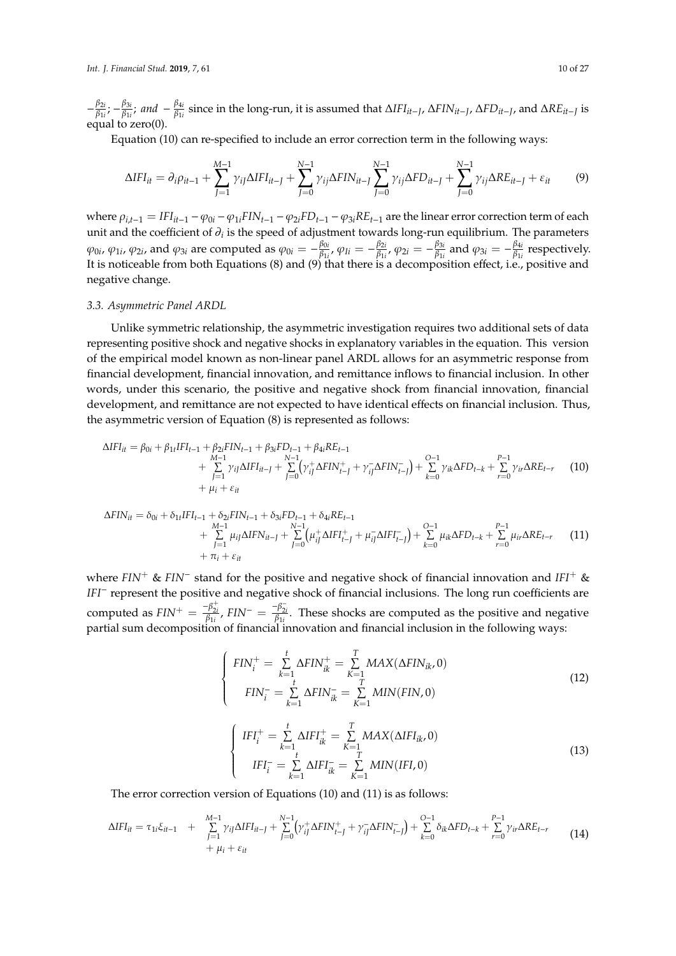− β2*i*  $\frac{\beta_{2i}}{\beta_{1i}}$ ;  $-\frac{\beta_{3i}}{\beta_{1i}}$  $\frac{\beta_{3i}}{\beta_{1i}}$ ; and  $-\frac{\beta_{4i}}{\beta_{1i}}$ β1*i* since in the long-run, it is assumed that ∆*IFIit*−*<sup>J</sup>* , ∆*FINit*−*<sup>J</sup>* , ∆*FDit*−*<sup>J</sup>* , and ∆*REit*−*<sup>J</sup>* is equal to zero(0).

Equation (10) can re-specified to include an error correction term in the following ways:

$$
\Delta IFI_{it} = \partial_i \rho_{it-1} + \sum_{J=1}^{M-1} \gamma_{ij} \Delta IFI_{it-J} + \sum_{J=0}^{N-1} \gamma_{ij} \Delta FIN_{it-J} \sum_{J=0}^{N-1} \gamma_{ij} \Delta FD_{it-J} + \sum_{J=0}^{N-1} \gamma_{ij} \Delta RE_{it-J} + \varepsilon_{it}
$$
(9)

where  $\rho_{i,t-1} = IFI_{it-1} - \varphi_{0i} - \varphi_{1i}FIN_{t-1} - \varphi_{2i}FD_{t-1} - \varphi_{3i}RE_{t-1}$  are the linear error correction term of each unit and the coefficient of  $\partial_i$  is the speed of adjustment towards long-run equilibrium. The parameters  $\varphi_{0i}$ ,  $\varphi_{1i}$ ,  $\varphi_{2i}$ , and  $\varphi_{3i}$  are computed as  $\varphi_{0i} = -\frac{\beta_{0i}}{\beta_{1i}}$  $\frac{\beta_{0i}}{\beta_{1i}}$ ,  $\varphi_{Ii} = -\frac{\beta_{2i}}{\beta_{1i}}$  $\frac{\beta_{2i}}{\beta_{1i}}$ ,  $\varphi_{2i} = -\frac{\beta_{3i}}{\beta_{1i}}$  $\frac{\beta_{3i}}{\beta_{1i}}$  and  $\varphi_{3i} = -\frac{\beta_{4i}}{\beta_{1i}}$  $\frac{p_{4i}}{\beta_{1i}}$  respectively. It is noticeable from both Equations (8) and (9) that there is a decomposition effect, i.e., positive and negative change.

#### *3.3. Asymmetric Panel ARDL*

Unlike symmetric relationship, the asymmetric investigation requires two additional sets of data representing positive shock and negative shocks in explanatory variables in the equation. This version of the empirical model known as non-linear panel ARDL allows for an asymmetric response from financial development, financial innovation, and remittance inflows to financial inclusion. In other words, under this scenario, the positive and negative shock from financial innovation, financial development, and remittance are not expected to have identical effects on financial inclusion. Thus, the asymmetric version of Equation (8) is represented as follows:

$$
\Delta IFI_{it} = \beta_{0i} + \beta_{1t}IFI_{t-1} + \beta_{2i}FIN_{t-1} + \beta_{3i}FD_{t-1} + \beta_{4i}RE_{t-1} + \sum_{J=1}^{M-1} \gamma_{ij} \Delta IFI_{it-J} + \sum_{J=0}^{N-1} (\gamma_{ij}^{+} \Delta FIN_{t-J}^{+} + \gamma_{ij}^{-} \Delta FIN_{t-J}^{-}) + \sum_{k=0}^{O-1} \gamma_{ik} \Delta FD_{t-k} + \sum_{r=0}^{P-1} \gamma_{ir} \Delta RE_{t-r}
$$
(10)  
+  $\mu_{i} + \varepsilon_{it}$ 

$$
\Delta FIN_{it} = \delta_{0i} + \delta_{1t}IFl_{t-1} + \delta_{2i}FIN_{t-1} + \delta_{3i}FD_{t-1} + \delta_{4i}RE_{t-1} + \sum_{J=0}^{N-1} (\mu_{ij}^{+} \Delta IFl_{t-J}^{+}) + \sum_{J=0}^{N-1} (\mu_{ij}^{+} \Delta IFl_{t-J}^{+}) + \mu_{ij}^{-} \Delta IFl_{t-J}^{-}) + \sum_{k=0}^{O-1} \mu_{ik} \Delta FD_{t-k} + \sum_{r=0}^{P-1} \mu_{ir} \Delta RE_{t-r}
$$
(11)  
+  $\pi_i + \varepsilon_{it}$ 

where *FIN*<sup>+</sup> & *FIN*<sup>−</sup> stand for the positive and negative shock of financial innovation and *IFI*<sup>+</sup> & *IFI*<sup>−</sup> represent the positive and negative shock of financial inclusions. The long run coefficients are computed as  $FIN^+ = \frac{-\beta_{2i}^+}{\beta_{1i}}$ ,  $FIN^- = \frac{-\beta_{2i}^-}{\beta_{1i}}$ . These shocks are computed as the positive and negative partial sum decomposition of financial innovation and financial inclusion in the following ways:

$$
\begin{cases}\nFIN_{i}^{+} = \sum_{k=1}^{t} \Delta FIN_{ik}^{+} = \sum_{K=1}^{T} MAX(\Delta FIN_{ik}, 0) \\
FIN_{i}^{-} = \sum_{k=1}^{t} \Delta FIN_{ik}^{-} = \sum_{K=1}^{T} MIN(FIN, 0)\n\end{cases}
$$
\n(12)

$$
\begin{cases}\nIFI_{i}^{+} = \sum_{k=1}^{t} \Delta IFI_{ik}^{+} = \sum_{K=1}^{T} MAX(\Delta IFI_{ik}, 0) \\
IFI_{i}^{-} = \sum_{k=1}^{t} \Delta IFI_{ik}^{-} = \sum_{K=1}^{T} MIN(IFI, 0)\n\end{cases}
$$
\n(13)

The error correction version of Equations (10) and (11) is as follows:

$$
\Delta IFI_{it} = \tau_{1i}\xi_{it-1} + \sum_{j=1}^{M-1} \gamma_{ij}\Delta IFI_{it-j} + \sum_{j=0}^{N-1} (\gamma_{ij}^{+}\Delta FIN_{t-j}^{+} + \gamma_{ij}^{-}\Delta FIN_{t-j}^{-}) + \sum_{k=0}^{O-1} \delta_{ik}\Delta FD_{t-k} + \sum_{r=0}^{P-1} \gamma_{ir}\Delta RE_{t-r} + \mu_{i} + \varepsilon_{it}
$$
\n(14)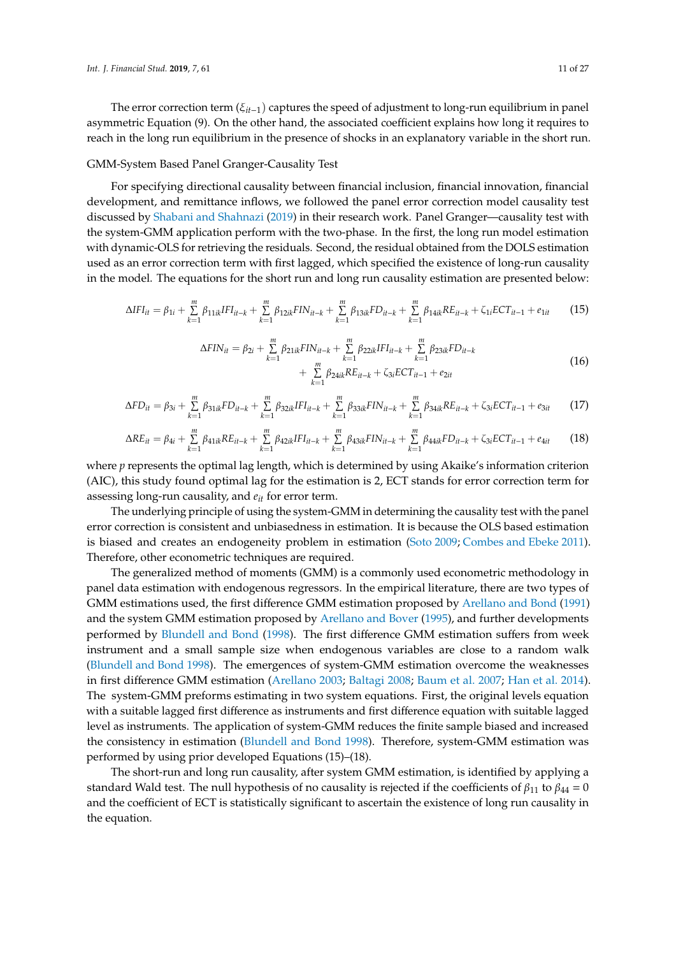The error correction term (ξ*it*−1) captures the speed of adjustment to long-run equilibrium in panel asymmetric Equation (9). On the other hand, the associated coefficient explains how long it requires to reach in the long run equilibrium in the presence of shocks in an explanatory variable in the short run.

#### GMM-System Based Panel Granger-Causality Test

For specifying directional causality between financial inclusion, financial innovation, financial development, and remittance inflows, we followed the panel error correction model causality test discussed by [Shabani and Shahnazi](#page-26-15) [\(2019\)](#page-26-15) in their research work. Panel Granger—causality test with the system-GMM application perform with the two-phase. In the first, the long run model estimation with dynamic-OLS for retrieving the residuals. Second, the residual obtained from the DOLS estimation used as an error correction term with first lagged, which specified the existence of long-run causality in the model. The equations for the short run and long run causality estimation are presented below:

$$
\Delta IFI_{it} = \beta_{1i} + \sum_{k=1}^{m} \beta_{11ik} IFI_{it-k} + \sum_{k=1}^{m} \beta_{12ik} FIN_{it-k} + \sum_{k=1}^{m} \beta_{13ik} FD_{it-k} + \sum_{k=1}^{m} \beta_{14ik} RE_{it-k} + \zeta_{1i} ECT_{it-1} + e_{1it}
$$
(15)

$$
\Delta FIN_{it} = \beta_{2i} + \sum_{k=1}^{m} \beta_{21ik} FIN_{it-k} + \sum_{k=1}^{m} \beta_{22ik} IFI_{it-k} + \sum_{k=1}^{m} \beta_{23ik} FD_{it-k} + \sum_{k=1}^{m} \beta_{24ik} RE_{it-k} + \zeta_{3i} ECT_{it-1} + e_{2it}
$$
\n(16)

$$
\Delta FD_{it} = \beta_{3i} + \sum_{k=1}^{m} \beta_{31ik} FD_{it-k} + \sum_{k=1}^{m} \beta_{32ik} IFI_{it-k} + \sum_{k=1}^{m} \beta_{33ik} FIN_{it-k} + \sum_{k=1}^{m} \beta_{34ik} RE_{it-k} + \zeta_{3i} ECT_{it-1} + e_{3it}
$$
(17)

$$
\Delta RE_{it} = \beta_{4i} + \sum_{k=1}^{m} \beta_{41ik} RE_{it-k} + \sum_{k=1}^{m} \beta_{42ik} IFI_{it-k} + \sum_{k=1}^{m} \beta_{43ik} FIN_{it-k} + \sum_{k=1}^{m} \beta_{44ik} FD_{it-k} + \zeta_{3i} ECT_{it-1} + e_{4it}
$$
(18)

where *p* represents the optimal lag length, which is determined by using Akaike's information criterion (AIC), this study found optimal lag for the estimation is 2, ECT stands for error correction term for assessing long-run causality, and *eit* for error term.

The underlying principle of using the system-GMM in determining the causality test with the panel error correction is consistent and unbiasedness in estimation. It is because the OLS based estimation is biased and creates an endogeneity problem in estimation [\(Soto](#page-26-16) [2009;](#page-26-16) [Combes and Ebeke](#page-23-17) [2011\)](#page-23-17). Therefore, other econometric techniques are required.

The generalized method of moments (GMM) is a commonly used econometric methodology in panel data estimation with endogenous regressors. In the empirical literature, there are two types of GMM estimations used, the first difference GMM estimation proposed by [Arellano and Bond](#page-21-5) [\(1991\)](#page-21-5) and the system GMM estimation proposed by [Arellano and Bover](#page-22-18) [\(1995\)](#page-22-18), and further developments performed by [Blundell and Bond](#page-22-19) [\(1998\)](#page-22-19). The first difference GMM estimation suffers from week instrument and a small sample size when endogenous variables are close to a random walk [\(Blundell and Bond](#page-22-19) [1998\)](#page-22-19). The emergences of system-GMM estimation overcome the weaknesses in first difference GMM estimation [\(Arellano](#page-21-6) [2003;](#page-21-6) [Baltagi](#page-22-20) [2008;](#page-22-20) [Baum et al.](#page-22-21) [2007;](#page-22-21) [Han et al.](#page-23-18) [2014\)](#page-23-18). The system-GMM preforms estimating in two system equations. First, the original levels equation with a suitable lagged first difference as instruments and first difference equation with suitable lagged level as instruments. The application of system-GMM reduces the finite sample biased and increased the consistency in estimation [\(Blundell and Bond](#page-22-19) [1998\)](#page-22-19). Therefore, system-GMM estimation was performed by using prior developed Equations (15)–(18).

The short-run and long run causality, after system GMM estimation, is identified by applying a standard Wald test. The null hypothesis of no causality is rejected if the coefficients of  $\beta_{11}$  to  $\beta_{44} = 0$ and the coefficient of ECT is statistically significant to ascertain the existence of long run causality in the equation.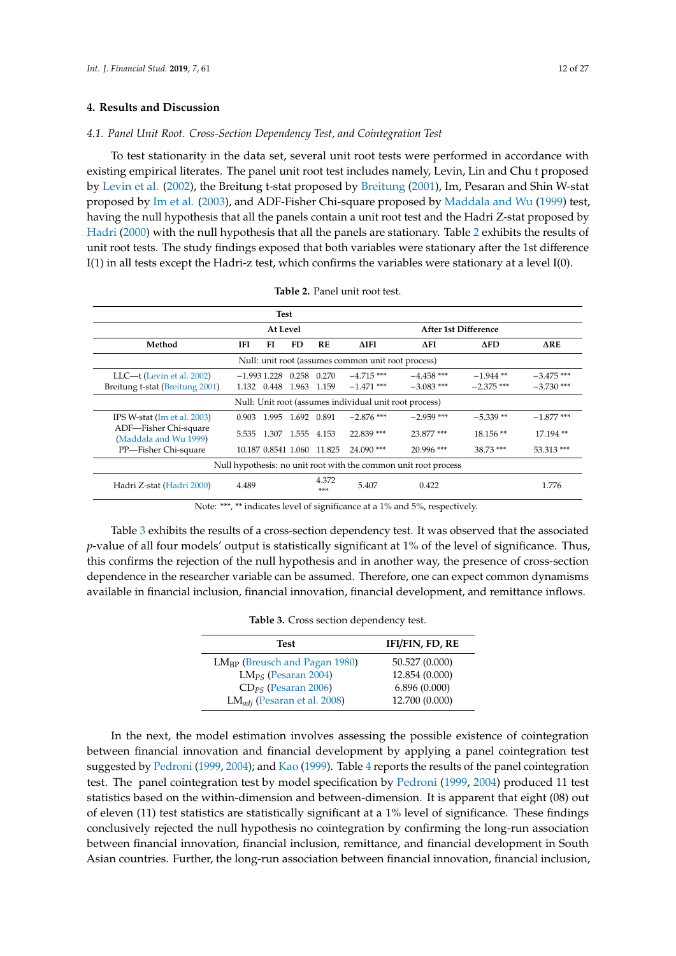#### <span id="page-11-0"></span>**4. Results and Discussion**

#### *4.1. Panel Unit Root. Cross-Section Dependency Test, and Cointegration Test*

To test stationarity in the data set, several unit root tests were performed in accordance with existing empirical literates. The panel unit root test includes namely, Levin, Lin and Chu t proposed by [Levin et al.](#page-24-18) [\(2002\)](#page-24-18), the Breitung t-stat proposed by [Breitung](#page-22-22) [\(2001\)](#page-22-22), Im, Pesaran and Shin W-stat proposed by [Im et al.](#page-23-19) [\(2003\)](#page-23-19), and ADF-Fisher Chi-square proposed by [Maddala and Wu](#page-24-19) [\(1999\)](#page-24-19) test, having the null hypothesis that all the panels contain a unit root test and the Hadri Z-stat proposed by [Hadri](#page-23-20) [\(2000\)](#page-23-20) with the null hypothesis that all the panels are stationary. Table [2](#page-11-1) exhibits the results of unit root tests. The study findings exposed that both variables were stationary after the 1st difference I(1) in all tests except the Hadri-z test, which confirms the variables were stationary at a level I(0).

<span id="page-11-1"></span>

| Test                                                            |       |                              |                   |                            |                             |                              |                             |                              |
|-----------------------------------------------------------------|-------|------------------------------|-------------------|----------------------------|-----------------------------|------------------------------|-----------------------------|------------------------------|
| At Level<br>After 1st Difference                                |       |                              |                   |                            |                             |                              |                             |                              |
| Method                                                          | IFI.  | FI                           | FD                | <b>RE</b>                  | $\Delta$ IFI                | $\Delta$ FI                  | $\Delta$ FD                 | $\Delta$ RE                  |
| Null: unit root (assumes common unit root process)              |       |                              |                   |                            |                             |                              |                             |                              |
| LLC-t (Levin et al. 2002)<br>Breitung t-stat (Breitung 2001)    |       | $-1.9931.228$<br>1.132 0.448 | 1.963             | 0.258 0.270<br>1.159       | $-4.715***$<br>$-1.471$ *** | $-4.458$ ***<br>$-3.083$ *** | $-1.944$ **<br>$-2.375$ *** | $-3.475$ ***<br>$-3.730$ *** |
| Null: Unit root (assumes individual unit root process)          |       |                              |                   |                            |                             |                              |                             |                              |
| IPS W-stat (Im et al. $2003$ )                                  | 0.903 |                              | 1.995 1.692 0.891 |                            | $-2.876$ ***                | $-2.959$ ***                 | $-5.339**$                  | $-1.877$ ***                 |
| ADF-Fisher Chi-square<br>(Maddala and Wu 1999)                  | 5.535 |                              | 1.307 1.555 4.153 |                            | 22.839 ***                  | 23.877***                    | $18.156**$                  | 17.194**                     |
| PP-Fisher Chi-square                                            |       |                              |                   | 10.187 0.8541 1.060 11.825 | $24.090$ ***                | $20.996$ ***                 | $38.73***$                  | 53.313 ***                   |
| Null hypothesis: no unit root with the common unit root process |       |                              |                   |                            |                             |                              |                             |                              |
| Hadri Z-stat (Hadri 2000)                                       | 4.489 |                              |                   | 4.372<br>$***$             | 5.407                       | 0.422                        |                             | 1.776                        |

| <b>Table 2.</b> Panel unit root test. |
|---------------------------------------|
|                                       |

Note: \*\*\*, \*\* indicates level of significance at a 1% and 5%, respectively.

<span id="page-11-2"></span>Table [3](#page-11-2) exhibits the results of a cross-section dependency test. It was observed that the associated *p*-value of all four models' output is statistically significant at 1% of the level of significance. Thus, this confirms the rejection of the null hypothesis and in another way, the presence of cross-section dependence in the researcher variable can be assumed. Therefore, one can expect common dynamisms available in financial inclusion, financial innovation, financial development, and remittance inflows.

| Table 3. Cross section dependency test. |  |  |  |  |  |
|-----------------------------------------|--|--|--|--|--|
|-----------------------------------------|--|--|--|--|--|

| <b>Test</b>                        | IFI/FIN, FD, RE |
|------------------------------------|-----------------|
| $LM_{BP}$ (Breusch and Pagan 1980) | 50.527 (0.000)  |
| $LM_{PS}$ (Pesaran 2004)           | 12.854 (0.000)  |
| $CD_{PS}$ (Pesaran 2006)           | 6.896(0.000)    |
| $LM_{adj}$ (Pesaran et al. 2008)   | 12.700 (0.000)  |

In the next, the model estimation involves assessing the possible existence of cointegration between financial innovation and financial development by applying a panel cointegration test suggested by [Pedroni](#page-25-22) [\(1999,](#page-25-22) [2004\)](#page-25-23); and [Kao](#page-23-21) [\(1999\)](#page-23-21). Table [4](#page-12-0) reports the results of the panel cointegration test. The panel cointegration test by model specification by [Pedroni](#page-25-22) [\(1999,](#page-25-22) [2004\)](#page-25-23) produced 11 test statistics based on the within-dimension and between-dimension. It is apparent that eight (08) out of eleven (11) test statistics are statistically significant at a 1% level of significance. These findings conclusively rejected the null hypothesis no cointegration by confirming the long-run association between financial innovation, financial inclusion, remittance, and financial development in South Asian countries. Further, the long-run association between financial innovation, financial inclusion,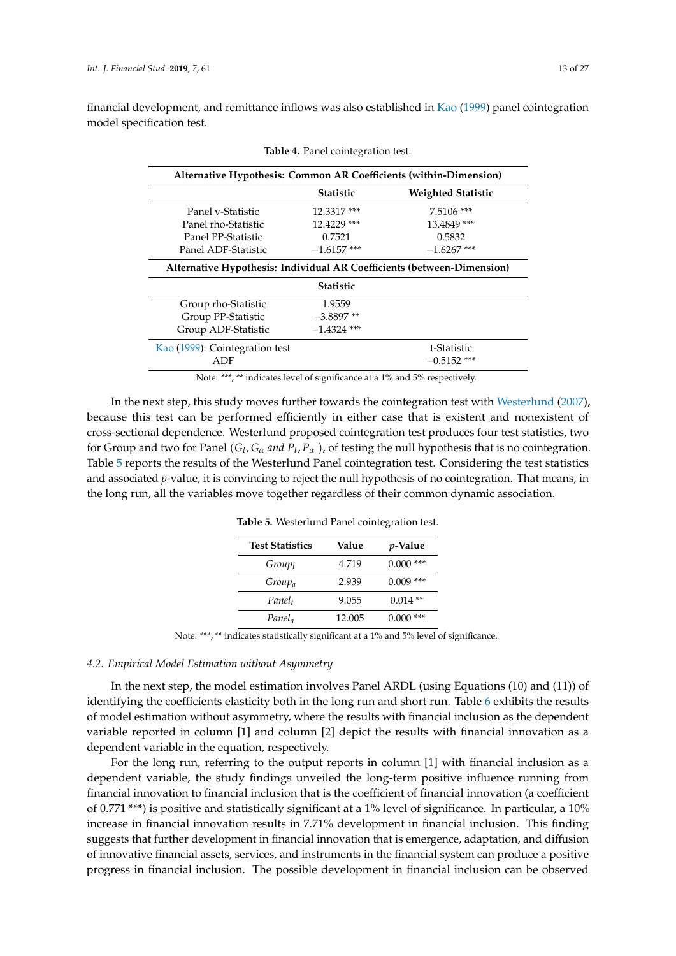<span id="page-12-0"></span>financial development, and remittance inflows was also established in [Kao](#page-23-21) [\(1999\)](#page-23-21) panel cointegration model specification test.

| Alternative Hypothesis: Common AR Coefficients (within-Dimension)      |                  |                           |  |  |
|------------------------------------------------------------------------|------------------|---------------------------|--|--|
|                                                                        | <b>Statistic</b> | <b>Weighted Statistic</b> |  |  |
| Panel v-Statistic                                                      | 12.3317***       | $7.5106$ ***              |  |  |
| Panel rho-Statistic                                                    | 12.4229 ***      | 13.4849***                |  |  |
| Panel PP-Statistic                                                     | 0.7521           | 0.5832                    |  |  |
| Panel ADF-Statistic                                                    | $-1.6157$ ***    | $-1.6267$ ***             |  |  |
| Alternative Hypothesis: Individual AR Coefficients (between-Dimension) |                  |                           |  |  |
|                                                                        | <b>Statistic</b> |                           |  |  |
| Group rho-Statistic                                                    | 1.9559           |                           |  |  |
| Group PP-Statistic                                                     | $-3.8897**$      |                           |  |  |
| Group ADF-Statistic                                                    | $-1.4324$ ***    |                           |  |  |
| Kao (1999): Cointegration test                                         |                  | t-Statistic               |  |  |
| ADF                                                                    |                  | $-0.5152$ ***             |  |  |

**Table 4.** Panel cointegration test.

Note: \*\*\*, \*\* indicates level of significance at a 1% and 5% respectively.

<span id="page-12-1"></span>In the next step, this study moves further towards the cointegration test with [Westerlund](#page-26-17) [\(2007\)](#page-26-17), because this test can be performed efficiently in either case that is existent and nonexistent of cross-sectional dependence. Westerlund proposed cointegration test produces four test statistics, two for Group and two for Panel  $(G_t, G_\alpha$  *and*  $P_t, P_\alpha$  ), of testing the null hypothesis that is no cointegration. Table [5](#page-12-1) reports the results of the Westerlund Panel cointegration test. Considering the test statistics and associated *p*-value, it is convincing to reject the null hypothesis of no cointegration. That means, in the long run, all the variables move together regardless of their common dynamic association.

| <b>Test Statistics</b> | Value  | <i>p</i> -Value |
|------------------------|--------|-----------------|
| $Group_t$              | 4.719  | ***<br>0.000    |
| $Group_a$              | 2.939  | ***<br>0.009    |
| Panel <sub>t</sub>     | 9.055  | $0.014**$       |
| Panel <sub>a</sub>     | 12.005 | ***<br>0.000    |

**Table 5.** Westerlund Panel cointegration test.

Note: \*\*\*, \*\* indicates statistically significant at a 1% and 5% level of significance.

#### *4.2. Empirical Model Estimation without Asymmetry*

In the next step, the model estimation involves Panel ARDL (using Equations (10) and (11)) of identifying the coefficients elasticity both in the long run and short run. Table [6](#page-13-0) exhibits the results of model estimation without asymmetry, where the results with financial inclusion as the dependent variable reported in column [1] and column [2] depict the results with financial innovation as a dependent variable in the equation, respectively.

For the long run, referring to the output reports in column [1] with financial inclusion as a dependent variable, the study findings unveiled the long-term positive influence running from financial innovation to financial inclusion that is the coefficient of financial innovation (a coefficient of 0.771 \*\*\*) is positive and statistically significant at a 1% level of significance. In particular, a 10% increase in financial innovation results in 7.71% development in financial inclusion. This finding suggests that further development in financial innovation that is emergence, adaptation, and diffusion of innovative financial assets, services, and instruments in the financial system can produce a positive progress in financial inclusion. The possible development in financial inclusion can be observed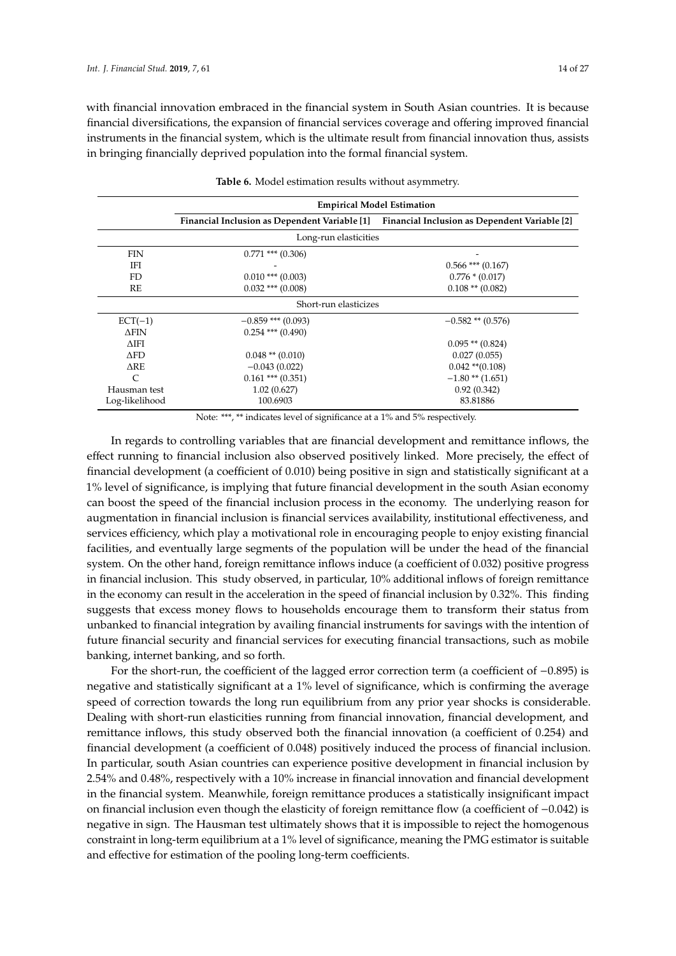with financial innovation embraced in the financial system in South Asian countries. It is because financial diversifications, the expansion of financial services coverage and offering improved financial instruments in the financial system, which is the ultimate result from financial innovation thus, assists in bringing financially deprived population into the formal financial system.

<span id="page-13-0"></span>

|                |                       | <b>Empirical Model Estimation</b>                                                           |
|----------------|-----------------------|---------------------------------------------------------------------------------------------|
|                |                       | Financial Inclusion as Dependent Variable [1] Financial Inclusion as Dependent Variable [2] |
|                | Long-run elasticities |                                                                                             |
| <b>FIN</b>     | $0.771$ *** $(0.306)$ |                                                                                             |
| IFI            |                       | $0.566$ *** $(0.167)$                                                                       |
| FD.            | $0.010$ *** $(0.003)$ | $0.776 * (0.017)$                                                                           |
| RE             | $0.032$ *** $(0.008)$ | $0.108$ ** $(0.082)$                                                                        |
|                | Short-run elasticizes |                                                                                             |
| $ECT(-1)$      | $-0.859$ *** (0.093)  | $-0.582**$ (0.576)                                                                          |
| <b>AFIN</b>    | $0.254$ *** $(0.490)$ |                                                                                             |
| <b>AIFI</b>    |                       | $0.095$ ** $(0.824)$                                                                        |
| <b>AFD</b>     | $0.048$ ** $(0.010)$  | 0.027(0.055)                                                                                |
| ARE.           | $-0.043(0.022)$       | $0.042$ ** $(0.108)$                                                                        |
| $\subset$      | $0.161$ *** $(0.351)$ | $-1.80$ ** $(1.651)$                                                                        |
| Hausman test   | 1.02(0.627)           | 0.92(0.342)                                                                                 |
| Log-likelihood | 100.6903              | 83.81886                                                                                    |

|  | Table 6. Model estimation results without asymmetry. |  |  |
|--|------------------------------------------------------|--|--|
|  |                                                      |  |  |

Note: \*\*\*, \*\* indicates level of significance at a 1% and 5% respectively.

In regards to controlling variables that are financial development and remittance inflows, the effect running to financial inclusion also observed positively linked. More precisely, the effect of financial development (a coefficient of 0.010) being positive in sign and statistically significant at a 1% level of significance, is implying that future financial development in the south Asian economy can boost the speed of the financial inclusion process in the economy. The underlying reason for augmentation in financial inclusion is financial services availability, institutional effectiveness, and services efficiency, which play a motivational role in encouraging people to enjoy existing financial facilities, and eventually large segments of the population will be under the head of the financial system. On the other hand, foreign remittance inflows induce (a coefficient of 0.032) positive progress in financial inclusion. This study observed, in particular, 10% additional inflows of foreign remittance in the economy can result in the acceleration in the speed of financial inclusion by 0.32%. This finding suggests that excess money flows to households encourage them to transform their status from unbanked to financial integration by availing financial instruments for savings with the intention of future financial security and financial services for executing financial transactions, such as mobile banking, internet banking, and so forth.

For the short-run, the coefficient of the lagged error correction term (a coefficient of −0.895) is negative and statistically significant at a 1% level of significance, which is confirming the average speed of correction towards the long run equilibrium from any prior year shocks is considerable. Dealing with short-run elasticities running from financial innovation, financial development, and remittance inflows, this study observed both the financial innovation (a coefficient of 0.254) and financial development (a coefficient of 0.048) positively induced the process of financial inclusion. In particular, south Asian countries can experience positive development in financial inclusion by 2.54% and 0.48%, respectively with a 10% increase in financial innovation and financial development in the financial system. Meanwhile, foreign remittance produces a statistically insignificant impact on financial inclusion even though the elasticity of foreign remittance flow (a coefficient of −0.042) is negative in sign. The Hausman test ultimately shows that it is impossible to reject the homogenous constraint in long-term equilibrium at a 1% level of significance, meaning the PMG estimator is suitable and effective for estimation of the pooling long-term coefficients.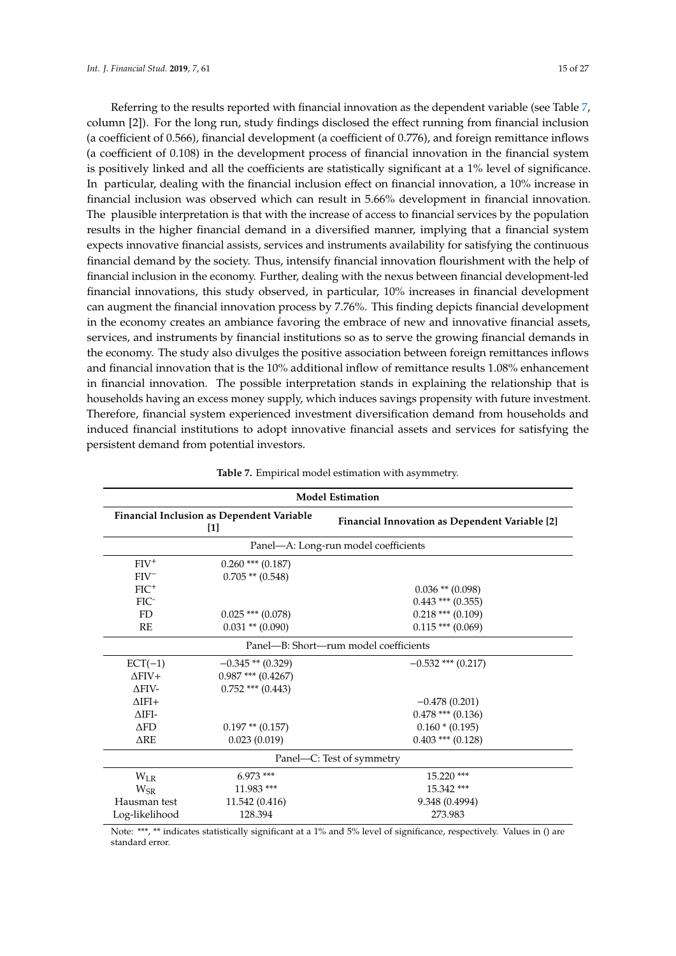Referring to the results reported with financial innovation as the dependent variable (see Table [7,](#page-14-0) column [2]). For the long run, study findings disclosed the effect running from financial inclusion (a coefficient of 0.566), financial development (a coefficient of 0.776), and foreign remittance inflows (a coefficient of 0.108) in the development process of financial innovation in the financial system is positively linked and all the coefficients are statistically significant at a 1% level of significance. In particular, dealing with the financial inclusion effect on financial innovation, a 10% increase in financial inclusion was observed which can result in 5.66% development in financial innovation. The plausible interpretation is that with the increase of access to financial services by the population results in the higher financial demand in a diversified manner, implying that a financial system expects innovative financial assists, services and instruments availability for satisfying the continuous financial demand by the society. Thus, intensify financial innovation flourishment with the help of financial inclusion in the economy. Further, dealing with the nexus between financial development-led financial innovations, this study observed, in particular, 10% increases in financial development can augment the financial innovation process by 7.76%. This finding depicts financial development in the economy creates an ambiance favoring the embrace of new and innovative financial assets, services, and instruments by financial institutions so as to serve the growing financial demands in the economy. The study also divulges the positive association between foreign remittances inflows and financial innovation that is the 10% additional inflow of remittance results 1.08% enhancement in financial innovation. The possible interpretation stands in explaining the relationship that is households having an excess money supply, which induces savings propensity with future investment. Therefore, financial system experienced investment diversification demand from households and induced financial institutions to adopt innovative financial assets and services for satisfying the persistent demand from potential investors.

<span id="page-14-0"></span>

| <b>Model Estimation</b>               |                                                                                                                    |                                      |  |  |  |  |
|---------------------------------------|--------------------------------------------------------------------------------------------------------------------|--------------------------------------|--|--|--|--|
|                                       | <b>Financial Inclusion as Dependent Variable</b><br><b>Financial Innovation as Dependent Variable [2]</b><br>$[1]$ |                                      |  |  |  |  |
|                                       |                                                                                                                    | Panel-A: Long-run model coefficients |  |  |  |  |
| $FIV^+$                               | $0.260$ *** $(0.187)$                                                                                              |                                      |  |  |  |  |
| $FIV^-$                               | $0.705$ ** $(0.548)$                                                                                               |                                      |  |  |  |  |
| $FIC^+$                               |                                                                                                                    | $0.036$ ** $(0.098)$                 |  |  |  |  |
| FIC <sup>-</sup>                      |                                                                                                                    | $0.443$ *** $(0.355)$                |  |  |  |  |
| FD.                                   | $0.025$ *** $(0.078)$                                                                                              | $0.218$ *** (0.109)                  |  |  |  |  |
| RE                                    | $0.031$ ** $(0.090)$                                                                                               | $0.115$ *** (0.069)                  |  |  |  |  |
| Panel—B: Short—rum model coefficients |                                                                                                                    |                                      |  |  |  |  |
| $ECT(-1)$                             | $-0.345**$ (0.329)                                                                                                 | $-0.532$ *** (0.217)                 |  |  |  |  |
| $\triangle$ FIV+                      | $0.987$ *** $(0.4267)$                                                                                             |                                      |  |  |  |  |
| $\Delta$ FIV-                         | $0.752$ *** $(0.443)$                                                                                              |                                      |  |  |  |  |
| $\triangle$ IFI+                      |                                                                                                                    | $-0.478(0.201)$                      |  |  |  |  |
| $\triangle$ IFI-                      |                                                                                                                    | $0.478$ *** (0.136)                  |  |  |  |  |
| $\triangle FD$                        | $0.197**$ (0.157)                                                                                                  | $0.160 * (0.195)$                    |  |  |  |  |
| $\Delta$ RE                           | 0.023(0.019)                                                                                                       | $0.403$ *** $(0.128)$                |  |  |  |  |
|                                       |                                                                                                                    | Panel—C: Test of symmetry            |  |  |  |  |
| $W_{LR}$                              | $6.973$ ***                                                                                                        | $15.220$ ***                         |  |  |  |  |
| $W_{\rm SR}$                          | 11.983 ***                                                                                                         | 15.342 ***                           |  |  |  |  |
| Hausman test                          | 11.542 (0.416)                                                                                                     | 9.348 (0.4994)                       |  |  |  |  |
| Log-likelihood                        | 128.394                                                                                                            | 273.983                              |  |  |  |  |

**Table 7.** Empirical model estimation with asymmetry.

Note: \*\*\*, \*\* indicates statistically significant at a 1% and 5% level of significance, respectively. Values in () are standard error.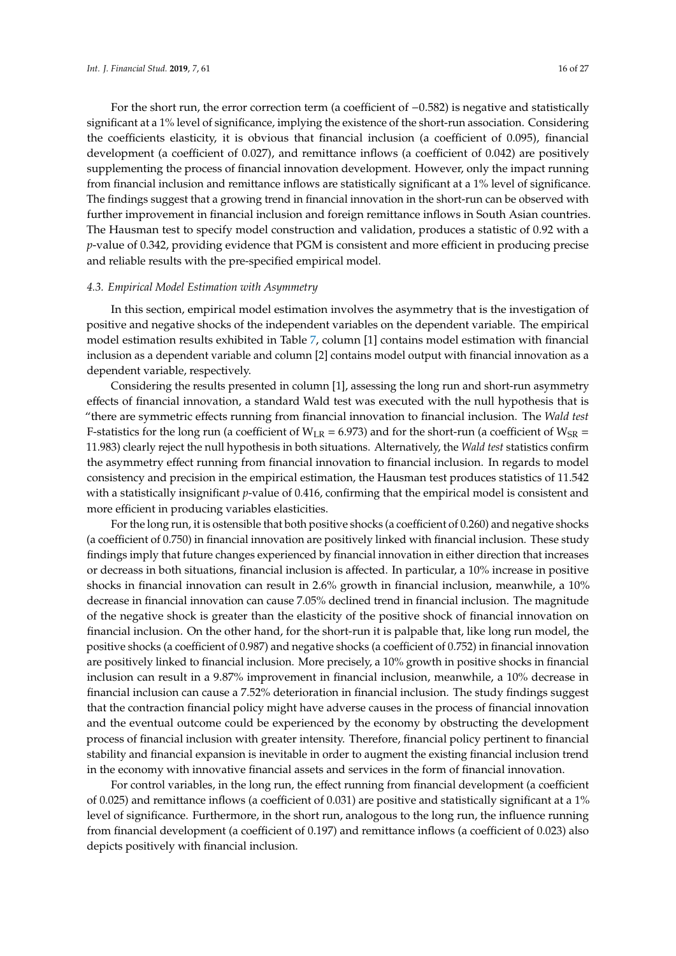For the short run, the error correction term (a coefficient of −0.582) is negative and statistically significant at a 1% level of significance, implying the existence of the short-run association. Considering the coefficients elasticity, it is obvious that financial inclusion (a coefficient of 0.095), financial development (a coefficient of 0.027), and remittance inflows (a coefficient of 0.042) are positively supplementing the process of financial innovation development. However, only the impact running from financial inclusion and remittance inflows are statistically significant at a 1% level of significance. The findings suggest that a growing trend in financial innovation in the short-run can be observed with further improvement in financial inclusion and foreign remittance inflows in South Asian countries. The Hausman test to specify model construction and validation, produces a statistic of 0.92 with a *p*-value of 0.342, providing evidence that PGM is consistent and more efficient in producing precise and reliable results with the pre-specified empirical model.

#### *4.3. Empirical Model Estimation with Asymmetry*

In this section, empirical model estimation involves the asymmetry that is the investigation of positive and negative shocks of the independent variables on the dependent variable. The empirical model estimation results exhibited in Table [7,](#page-14-0) column [1] contains model estimation with financial inclusion as a dependent variable and column [2] contains model output with financial innovation as a dependent variable, respectively.

Considering the results presented in column [1], assessing the long run and short-run asymmetry effects of financial innovation, a standard Wald test was executed with the null hypothesis that is "there are symmetric effects running from financial innovation to financial inclusion. The *Wald test* F-statistics for the long run (a coefficient of  $W_{LR}$  = 6.973) and for the short-run (a coefficient of  $W_{SR}$  = 11.983) clearly reject the null hypothesis in both situations. Alternatively, the *Wald test* statistics confirm the asymmetry effect running from financial innovation to financial inclusion. In regards to model consistency and precision in the empirical estimation, the Hausman test produces statistics of 11.542 with a statistically insignificant *p*-value of 0.416, confirming that the empirical model is consistent and more efficient in producing variables elasticities.

For the long run, it is ostensible that both positive shocks (a coefficient of 0.260) and negative shocks (a coefficient of 0.750) in financial innovation are positively linked with financial inclusion. These study findings imply that future changes experienced by financial innovation in either direction that increases or decreass in both situations, financial inclusion is affected. In particular, a 10% increase in positive shocks in financial innovation can result in 2.6% growth in financial inclusion, meanwhile, a 10% decrease in financial innovation can cause 7.05% declined trend in financial inclusion. The magnitude of the negative shock is greater than the elasticity of the positive shock of financial innovation on financial inclusion. On the other hand, for the short-run it is palpable that, like long run model, the positive shocks (a coefficient of 0.987) and negative shocks (a coefficient of 0.752) in financial innovation are positively linked to financial inclusion. More precisely, a 10% growth in positive shocks in financial inclusion can result in a 9.87% improvement in financial inclusion, meanwhile, a 10% decrease in financial inclusion can cause a 7.52% deterioration in financial inclusion. The study findings suggest that the contraction financial policy might have adverse causes in the process of financial innovation and the eventual outcome could be experienced by the economy by obstructing the development process of financial inclusion with greater intensity. Therefore, financial policy pertinent to financial stability and financial expansion is inevitable in order to augment the existing financial inclusion trend in the economy with innovative financial assets and services in the form of financial innovation.

For control variables, in the long run, the effect running from financial development (a coefficient of 0.025) and remittance inflows (a coefficient of 0.031) are positive and statistically significant at a 1% level of significance. Furthermore, in the short run, analogous to the long run, the influence running from financial development (a coefficient of 0.197) and remittance inflows (a coefficient of 0.023) also depicts positively with financial inclusion.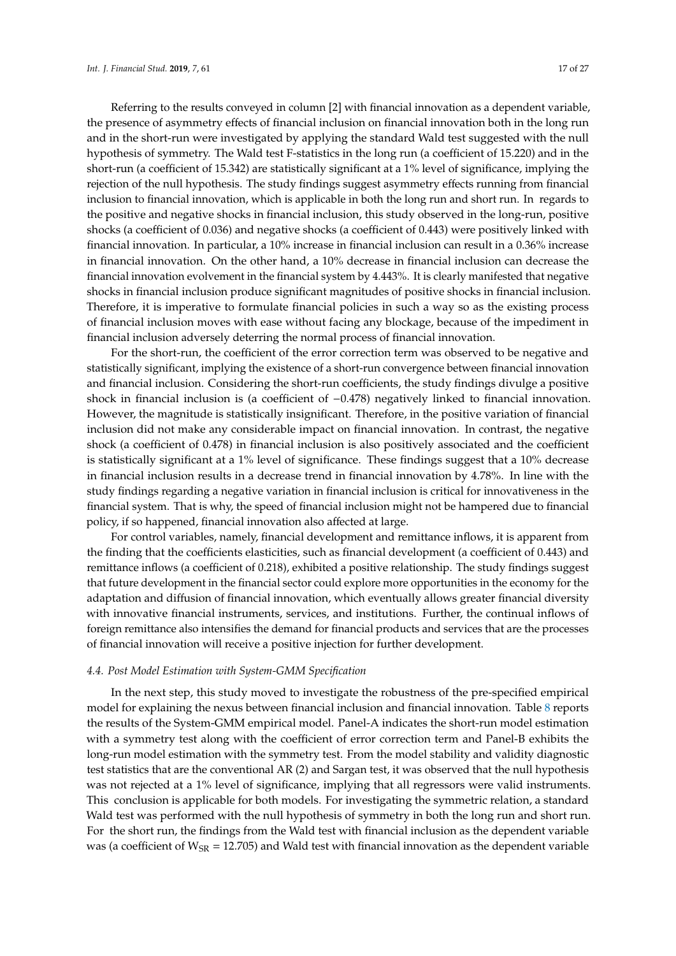Referring to the results conveyed in column [2] with financial innovation as a dependent variable, the presence of asymmetry effects of financial inclusion on financial innovation both in the long run and in the short-run were investigated by applying the standard Wald test suggested with the null hypothesis of symmetry. The Wald test F-statistics in the long run (a coefficient of 15.220) and in the short-run (a coefficient of 15.342) are statistically significant at a 1% level of significance, implying the rejection of the null hypothesis. The study findings suggest asymmetry effects running from financial inclusion to financial innovation, which is applicable in both the long run and short run. In regards to the positive and negative shocks in financial inclusion, this study observed in the long-run, positive shocks (a coefficient of 0.036) and negative shocks (a coefficient of 0.443) were positively linked with financial innovation. In particular, a 10% increase in financial inclusion can result in a 0.36% increase in financial innovation. On the other hand, a 10% decrease in financial inclusion can decrease the financial innovation evolvement in the financial system by 4.443%. It is clearly manifested that negative shocks in financial inclusion produce significant magnitudes of positive shocks in financial inclusion. Therefore, it is imperative to formulate financial policies in such a way so as the existing process of financial inclusion moves with ease without facing any blockage, because of the impediment in financial inclusion adversely deterring the normal process of financial innovation.

For the short-run, the coefficient of the error correction term was observed to be negative and statistically significant, implying the existence of a short-run convergence between financial innovation and financial inclusion. Considering the short-run coefficients, the study findings divulge a positive shock in financial inclusion is (a coefficient of  $-0.478$ ) negatively linked to financial innovation. However, the magnitude is statistically insignificant. Therefore, in the positive variation of financial inclusion did not make any considerable impact on financial innovation. In contrast, the negative shock (a coefficient of 0.478) in financial inclusion is also positively associated and the coefficient is statistically significant at a 1% level of significance. These findings suggest that a 10% decrease in financial inclusion results in a decrease trend in financial innovation by 4.78%. In line with the study findings regarding a negative variation in financial inclusion is critical for innovativeness in the financial system. That is why, the speed of financial inclusion might not be hampered due to financial policy, if so happened, financial innovation also affected at large.

For control variables, namely, financial development and remittance inflows, it is apparent from the finding that the coefficients elasticities, such as financial development (a coefficient of 0.443) and remittance inflows (a coefficient of 0.218), exhibited a positive relationship. The study findings suggest that future development in the financial sector could explore more opportunities in the economy for the adaptation and diffusion of financial innovation, which eventually allows greater financial diversity with innovative financial instruments, services, and institutions. Further, the continual inflows of foreign remittance also intensifies the demand for financial products and services that are the processes of financial innovation will receive a positive injection for further development.

#### *4.4. Post Model Estimation with System-GMM Specification*

In the next step, this study moved to investigate the robustness of the pre-specified empirical model for explaining the nexus between financial inclusion and financial innovation. Table [8](#page-17-0) reports the results of the System-GMM empirical model. Panel-A indicates the short-run model estimation with a symmetry test along with the coefficient of error correction term and Panel-B exhibits the long-run model estimation with the symmetry test. From the model stability and validity diagnostic test statistics that are the conventional AR (2) and Sargan test, it was observed that the null hypothesis was not rejected at a 1% level of significance, implying that all regressors were valid instruments. This conclusion is applicable for both models. For investigating the symmetric relation, a standard Wald test was performed with the null hypothesis of symmetry in both the long run and short run. For the short run, the findings from the Wald test with financial inclusion as the dependent variable was (a coefficient of  $W_{\text{SR}} = 12.705$ ) and Wald test with financial innovation as the dependent variable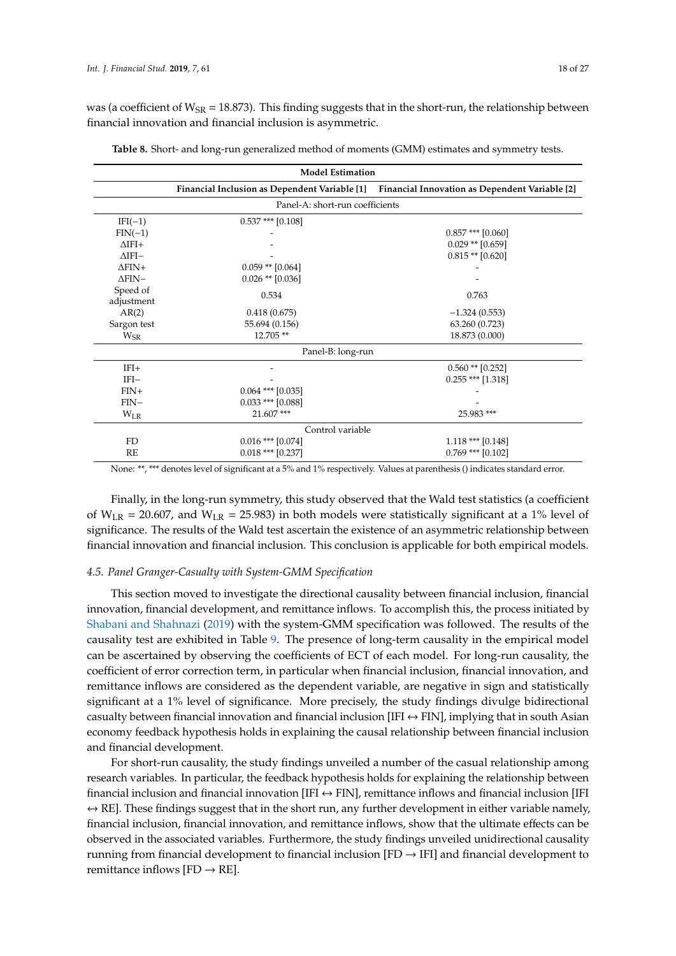was (a coefficient of  $W_{SR}$  = 18.873). This finding suggests that in the short-run, the relationship between financial innovation and financial inclusion is asymmetric.

<span id="page-17-0"></span>

|                  | <b>Model Estimation</b>         |                                                                                              |  |  |  |
|------------------|---------------------------------|----------------------------------------------------------------------------------------------|--|--|--|
|                  |                                 | Financial Inclusion as Dependent Variable [1] Financial Innovation as Dependent Variable [2] |  |  |  |
|                  | Panel-A: short-run coefficients |                                                                                              |  |  |  |
| $IFI(-1)$        | $0.537$ *** [0.108]             |                                                                                              |  |  |  |
| $FIN(-1)$        |                                 | $0.857$ *** [0.060]                                                                          |  |  |  |
| $\Lambda$ IFI+   |                                 | $0.029$ ** $[0.659]$                                                                         |  |  |  |
| $\triangle IFI-$ |                                 | $0.815**$ [0.620]                                                                            |  |  |  |
| $\Delta$ FIN+    | $0.059$ ** $[0.064]$            |                                                                                              |  |  |  |
| $\Delta$ FIN-    | $0.026$ ** $[0.036]$            |                                                                                              |  |  |  |
| Speed of         | 0.534                           | 0.763                                                                                        |  |  |  |
| adjustment       |                                 |                                                                                              |  |  |  |
| AR(2)            | 0.418(0.675)                    | $-1.324(0.553)$                                                                              |  |  |  |
| Sargon test      | 55.694 (0.156)                  | 63.260 (0.723)                                                                               |  |  |  |
| $W_{SR}$         | 12.705**                        | 18.873 (0.000)                                                                               |  |  |  |
|                  | Panel-B: long-run               |                                                                                              |  |  |  |
| $IFI+$           |                                 | $0.560$ ** [0.252]                                                                           |  |  |  |
| $IFI-$           |                                 | $0.255$ *** [1.318]                                                                          |  |  |  |
| $FIN+$           | $0.064$ *** $[0.035]$           |                                                                                              |  |  |  |
| $FIN-$           | $0.033$ *** [0.088]             |                                                                                              |  |  |  |
| $W_{LR}$         | 21.607***                       | 25.983 ***                                                                                   |  |  |  |
|                  | Control variable                |                                                                                              |  |  |  |
| FD               | $0.016$ *** $[0.074]$           | $1.118$ *** [0.148]                                                                          |  |  |  |
| RE               | $0.018$ *** [0.237]             | $0.769$ *** [0.102]                                                                          |  |  |  |

|  |  | Table 8. Short- and long-run generalized method of moments (GMM) estimates and symmetry tests. |  |  |
|--|--|------------------------------------------------------------------------------------------------|--|--|
|--|--|------------------------------------------------------------------------------------------------|--|--|

None: \*\*, \*\*\* denotes level of significant at a 5% and 1% respectively. Values at parenthesis () indicates standard error.

Finally, in the long-run symmetry, this study observed that the Wald test statistics (a coefficient of  $W_{LR}$  = 20.607, and  $W_{LR}$  = 25.983) in both models were statistically significant at a 1% level of significance. The results of the Wald test ascertain the existence of an asymmetric relationship between financial innovation and financial inclusion. This conclusion is applicable for both empirical models.

#### *4.5. Panel Granger-Casualty with System-GMM Specification*

This section moved to investigate the directional causality between financial inclusion, financial innovation, financial development, and remittance inflows. To accomplish this, the process initiated by [Shabani and Shahnazi](#page-26-15) [\(2019\)](#page-26-15) with the system-GMM specification was followed. The results of the causality test are exhibited in Table [9.](#page-18-1) The presence of long-term causality in the empirical model can be ascertained by observing the coefficients of ECT of each model. For long-run causality, the coefficient of error correction term, in particular when financial inclusion, financial innovation, and remittance inflows are considered as the dependent variable, are negative in sign and statistically significant at a 1% level of significance. More precisely, the study findings divulge bidirectional casualty between financial innovation and financial inclusion [IFI  $\leftrightarrow$  FIN], implying that in south Asian economy feedback hypothesis holds in explaining the causal relationship between financial inclusion and financial development.

For short-run causality, the study findings unveiled a number of the casual relationship among research variables. In particular, the feedback hypothesis holds for explaining the relationship between financial inclusion and financial innovation [IFI  $\leftrightarrow$  FIN], remittance inflows and financial inclusion [IFI  $\leftrightarrow$  RE]. These findings suggest that in the short run, any further development in either variable namely, financial inclusion, financial innovation, and remittance inflows, show that the ultimate effects can be observed in the associated variables. Furthermore, the study findings unveiled unidirectional causality running from financial development to financial inclusion  $[FD \rightarrow IFI]$  and financial development to remittance inflows [FD  $\rightarrow$  RE].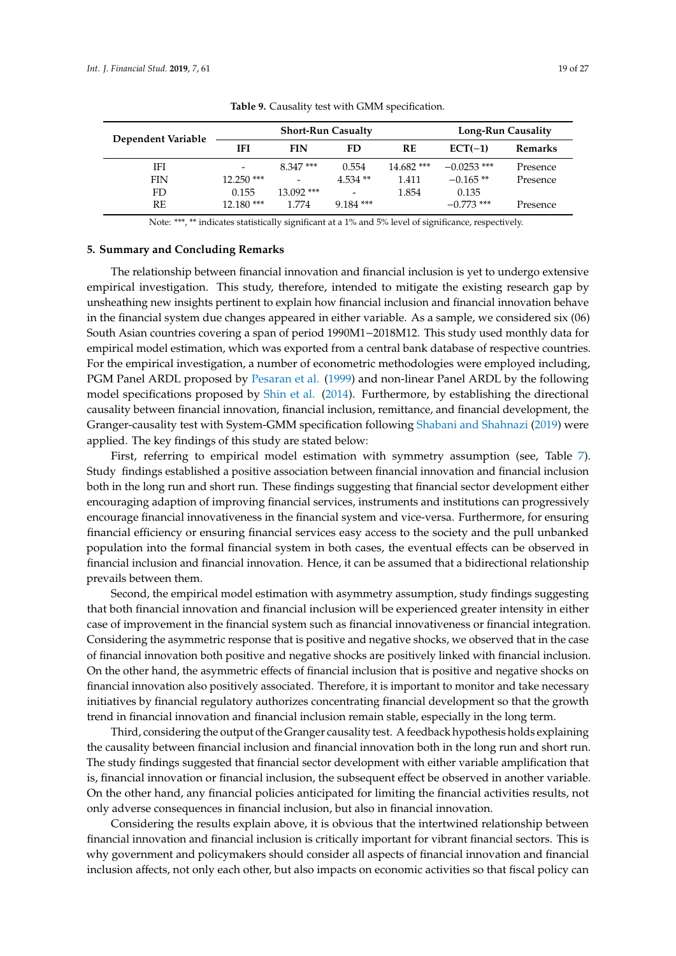<span id="page-18-1"></span>

| Dependent Variable | <b>Short-Run Casualty</b> |                          |                          | Long-Run Causality |               |          |
|--------------------|---------------------------|--------------------------|--------------------------|--------------------|---------------|----------|
|                    | IFI                       | <b>FIN</b>               | FD                       | <b>RE</b>          | $ECT(-1)$     | Remarks  |
| IFI                | $\overline{\phantom{a}}$  | $8.347***$               | 0.554                    | $14.682$ ***       | $-0.0253$ *** | Presence |
| <b>FIN</b>         | $12.250$ ***              | $\overline{\phantom{0}}$ | $4.534**$                | 1.411              | $-0.165**$    | Presence |
| FD                 | 0.155                     | $13.092$ ***             | $\overline{\phantom{0}}$ | 1.854              | 0.135         |          |
| RE                 | $12.180$ ***              | 1.774                    | $9.184$ ***              |                    | $-0.773$ ***  | Presence |

**Table 9.** Causality test with GMM specification.

Note: \*\*\*, \*\* indicates statistically significant at a 1% and 5% level of significance, respectively.

#### <span id="page-18-0"></span>**5. Summary and Concluding Remarks**

The relationship between financial innovation and financial inclusion is yet to undergo extensive empirical investigation. This study, therefore, intended to mitigate the existing research gap by unsheathing new insights pertinent to explain how financial inclusion and financial innovation behave in the financial system due changes appeared in either variable. As a sample, we considered six (06) South Asian countries covering a span of period 1990M1−2018M12. This study used monthly data for empirical model estimation, which was exported from a central bank database of respective countries. For the empirical investigation, a number of econometric methodologies were employed including, PGM Panel ARDL proposed by [Pesaran et al.](#page-25-20) [\(1999\)](#page-25-20) and non-linear Panel ARDL by the following model specifications proposed by [Shin et al.](#page-26-12) [\(2014\)](#page-26-12). Furthermore, by establishing the directional causality between financial innovation, financial inclusion, remittance, and financial development, the Granger-causality test with System-GMM specification following [Shabani and Shahnazi](#page-26-15) [\(2019\)](#page-26-15) were applied. The key findings of this study are stated below:

First, referring to empirical model estimation with symmetry assumption (see, Table [7\)](#page-14-0). Study findings established a positive association between financial innovation and financial inclusion both in the long run and short run. These findings suggesting that financial sector development either encouraging adaption of improving financial services, instruments and institutions can progressively encourage financial innovativeness in the financial system and vice-versa. Furthermore, for ensuring financial efficiency or ensuring financial services easy access to the society and the pull unbanked population into the formal financial system in both cases, the eventual effects can be observed in financial inclusion and financial innovation. Hence, it can be assumed that a bidirectional relationship prevails between them.

Second, the empirical model estimation with asymmetry assumption, study findings suggesting that both financial innovation and financial inclusion will be experienced greater intensity in either case of improvement in the financial system such as financial innovativeness or financial integration. Considering the asymmetric response that is positive and negative shocks, we observed that in the case of financial innovation both positive and negative shocks are positively linked with financial inclusion. On the other hand, the asymmetric effects of financial inclusion that is positive and negative shocks on financial innovation also positively associated. Therefore, it is important to monitor and take necessary initiatives by financial regulatory authorizes concentrating financial development so that the growth trend in financial innovation and financial inclusion remain stable, especially in the long term.

Third, considering the output of the Granger causality test. A feedback hypothesis holds explaining the causality between financial inclusion and financial innovation both in the long run and short run. The study findings suggested that financial sector development with either variable amplification that is, financial innovation or financial inclusion, the subsequent effect be observed in another variable. On the other hand, any financial policies anticipated for limiting the financial activities results, not only adverse consequences in financial inclusion, but also in financial innovation.

Considering the results explain above, it is obvious that the intertwined relationship between financial innovation and financial inclusion is critically important for vibrant financial sectors. This is why government and policymakers should consider all aspects of financial innovation and financial inclusion affects, not only each other, but also impacts on economic activities so that fiscal policy can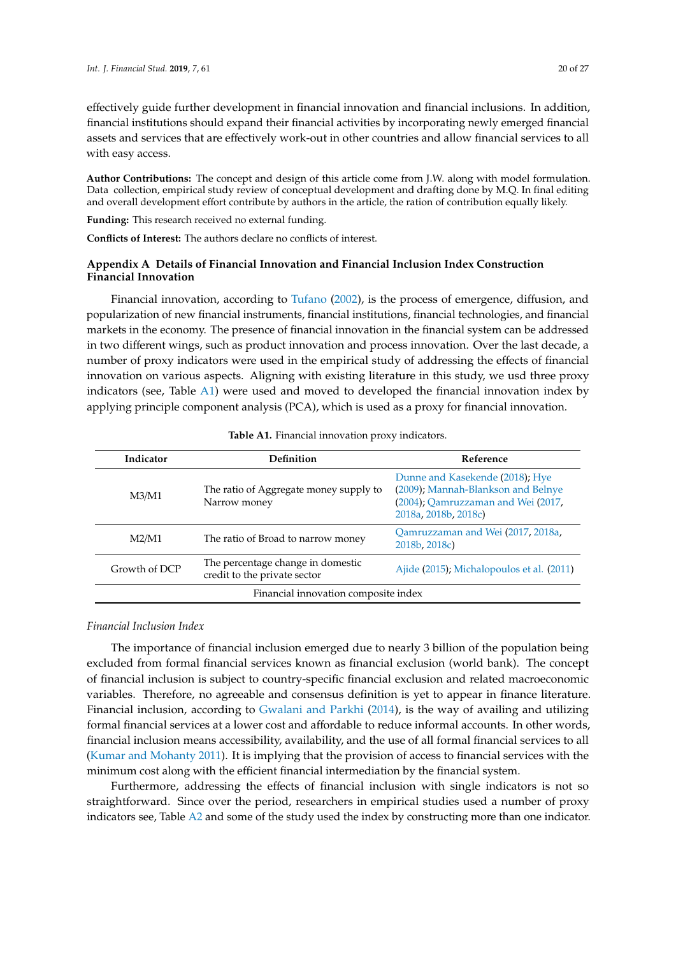effectively guide further development in financial innovation and financial inclusions. In addition, financial institutions should expand their financial activities by incorporating newly emerged financial assets and services that are effectively work-out in other countries and allow financial services to all with easy access.

**Author Contributions:** The concept and design of this article come from J.W. along with model formulation. Data collection, empirical study review of conceptual development and drafting done by M.Q. In final editing and overall development effort contribute by authors in the article, the ration of contribution equally likely.

**Funding:** This research received no external funding.

**Conflicts of Interest:** The authors declare no conflicts of interest.

### <span id="page-19-0"></span>**Appendix A Details of Financial Innovation and Financial Inclusion Index Construction Financial Innovation**

Financial innovation, according to [Tufano](#page-26-2) [\(2002\)](#page-26-2), is the process of emergence, diffusion, and popularization of new financial instruments, financial institutions, financial technologies, and financial markets in the economy. The presence of financial innovation in the financial system can be addressed in two different wings, such as product innovation and process innovation. Over the last decade, a number of proxy indicators were used in the empirical study of addressing the effects of financial innovation on various aspects. Aligning with existing literature in this study, we usd three proxy indicators (see, Table [A1\)](#page-19-1) were used and moved to developed the financial innovation index by applying principle component analysis (PCA), which is used as a proxy for financial innovation.

<span id="page-19-1"></span>

| Indicator                            | Definition                                                        | Reference                                                                                                                           |  |
|--------------------------------------|-------------------------------------------------------------------|-------------------------------------------------------------------------------------------------------------------------------------|--|
| M3/M1                                | The ratio of Aggregate money supply to<br>Narrow money            | Dunne and Kasekende (2018); Hye<br>(2009); Mannah-Blankson and Belnye<br>(2004); Qamruzzaman and Wei (2017,<br>2018a, 2018b, 2018c) |  |
| M2/M1                                | The ratio of Broad to narrow money                                | Qamruzzaman and Wei (2017, 2018a,<br>2018b, 2018c)                                                                                  |  |
| Growth of DCP                        | The percentage change in domestic<br>credit to the private sector | Ajide (2015); Michalopoulos et al. (2011)                                                                                           |  |
| Financial innovation composite index |                                                                   |                                                                                                                                     |  |

| Table A1. Financial innovation proxy indicators. |  |  |  |
|--------------------------------------------------|--|--|--|
|--------------------------------------------------|--|--|--|

#### *Financial Inclusion Index*

The importance of financial inclusion emerged due to nearly 3 billion of the population being excluded from formal financial services known as financial exclusion (world bank). The concept of financial inclusion is subject to country-specific financial exclusion and related macroeconomic variables. Therefore, no agreeable and consensus definition is yet to appear in finance literature. Financial inclusion, according to [Gwalani and Parkhi](#page-23-23) [\(2014\)](#page-23-23), is the way of availing and utilizing formal financial services at a lower cost and affordable to reduce informal accounts. In other words, financial inclusion means accessibility, availability, and the use of all formal financial services to all [\(Kumar and Mohanty](#page-24-1) [2011\)](#page-24-1). It is implying that the provision of access to financial services with the minimum cost along with the efficient financial intermediation by the financial system.

Furthermore, addressing the effects of financial inclusion with single indicators is not so straightforward. Since over the period, researchers in empirical studies used a number of proxy indicators see, Table [A2](#page-20-0) and some of the study used the index by constructing more than one indicator.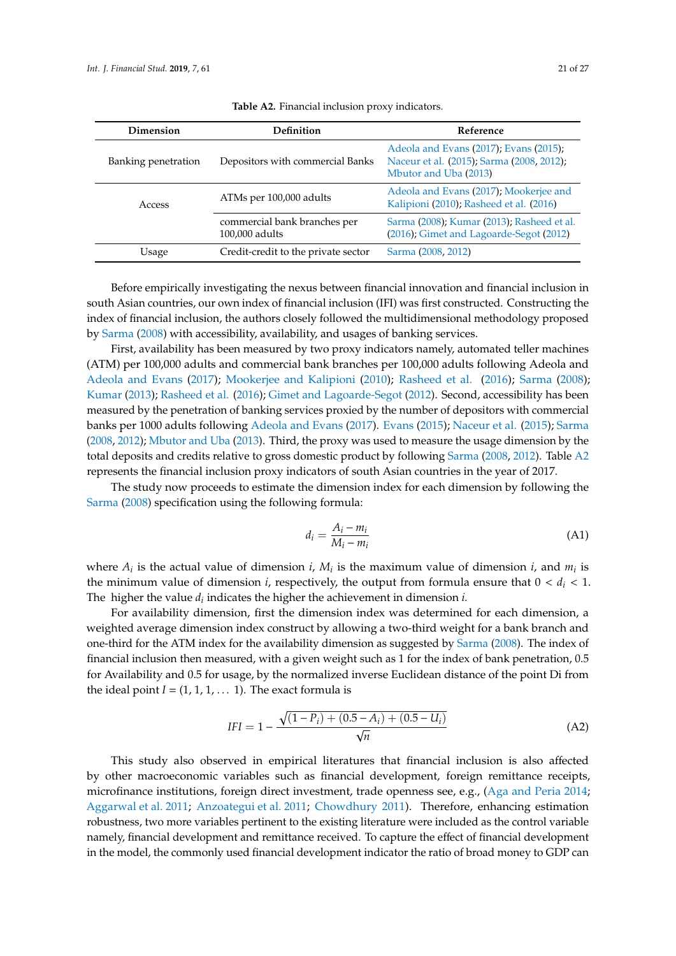<span id="page-20-0"></span>

| Dimension           | <b>Definition</b>                              | Reference                                                                                                    |  |  |
|---------------------|------------------------------------------------|--------------------------------------------------------------------------------------------------------------|--|--|
| Banking penetration | Depositors with commercial Banks               | Adeola and Evans (2017); Evans (2015);<br>Naceur et al. (2015); Sarma (2008, 2012);<br>Mbutor and Uba (2013) |  |  |
| Access              | ATMs per 100,000 adults                        | Adeola and Evans (2017); Mookerjee and<br>Kalipioni (2010); Rasheed et al. (2016)                            |  |  |
|                     | commercial bank branches per<br>100,000 adults | Sarma (2008); Kumar (2013); Rasheed et al.<br>(2016); Gimet and Lagoarde-Segot (2012)                        |  |  |
| Usage               | Credit-credit to the private sector            | Sarma (2008, 2012)                                                                                           |  |  |

**Table A2.** Financial inclusion proxy indicators.

Before empirically investigating the nexus between financial innovation and financial inclusion in south Asian countries, our own index of financial inclusion (IFI) was first constructed. Constructing the index of financial inclusion, the authors closely followed the multidimensional methodology proposed by [Sarma](#page-25-15) [\(2008\)](#page-25-15) with accessibility, availability, and usages of banking services.

First, availability has been measured by two proxy indicators namely, automated teller machines (ATM) per 100,000 adults and commercial bank branches per 100,000 adults following Adeola and [Adeola and Evans](#page-21-0) [\(2017\)](#page-21-0); [Mookerjee and Kalipioni](#page-24-13) [\(2010\)](#page-24-13); [Rasheed et al.](#page-25-10) [\(2016\)](#page-25-10); [Sarma](#page-25-15) [\(2008\)](#page-25-15); [Kumar](#page-24-15) [\(2013\)](#page-24-15); [Rasheed et al.](#page-25-10) [\(2016\)](#page-25-10); [Gimet and Lagoarde-Segot](#page-23-25) [\(2012\)](#page-23-25). Second, accessibility has been measured by the penetration of banking services proxied by the number of depositors with commercial banks per 1000 adults following [Adeola and Evans](#page-21-0) [\(2017\)](#page-21-0). [Evans](#page-23-24) [\(2015\)](#page-23-24); [Naceur et al.](#page-24-21) [\(2015\)](#page-24-21); [Sarma](#page-25-15) [\(2008,](#page-25-15) [2012\)](#page-25-24); [Mbutor and Uba](#page-24-22) [\(2013\)](#page-24-22). Third, the proxy was used to measure the usage dimension by the total deposits and credits relative to gross domestic product by following [Sarma](#page-25-15) [\(2008,](#page-25-15) [2012\)](#page-25-24). Table [A2](#page-20-0) represents the financial inclusion proxy indicators of south Asian countries in the year of 2017.

The study now proceeds to estimate the dimension index for each dimension by following the [Sarma](#page-25-15) [\(2008\)](#page-25-15) specification using the following formula:

$$
d_i = \frac{A_i - m_i}{M_i - m_i} \tag{A1}
$$

where  $A_i$  is the actual value of dimension *i*,  $M_i$  is the maximum value of dimension *i*, and  $m_i$  is the minimum value of dimension *i*, respectively, the output from formula ensure that  $0 < d_i < 1$ . The higher the value *d<sup>i</sup>* indicates the higher the achievement in dimension *i.*

For availability dimension, first the dimension index was determined for each dimension, a weighted average dimension index construct by allowing a two-third weight for a bank branch and one-third for the ATM index for the availability dimension as suggested by [Sarma](#page-25-15) [\(2008\)](#page-25-15). The index of financial inclusion then measured, with a given weight such as 1 for the index of bank penetration, 0.5 for Availability and 0.5 for usage, by the normalized inverse Euclidean distance of the point Di from the ideal point  $I = (1, 1, 1, \dots 1)$ . The exact formula is

$$
IFI = 1 - \frac{\sqrt{(1 - P_i) + (0.5 - A_i) + (0.5 - U_i)}}{\sqrt{n}}
$$
(A2)

This study also observed in empirical literatures that financial inclusion is also affected by other macroeconomic variables such as financial development, foreign remittance receipts, microfinance institutions, foreign direct investment, trade openness see, e.g., [\(Aga and Peria](#page-21-8) [2014;](#page-21-8) [Aggarwal et al.](#page-21-9) [2011;](#page-21-9) [Anzoategui et al.](#page-21-10) [2011;](#page-21-10) [Chowdhury](#page-22-23) [2011\)](#page-22-23). Therefore, enhancing estimation robustness, two more variables pertinent to the existing literature were included as the control variable namely, financial development and remittance received. To capture the effect of financial development in the model, the commonly used financial development indicator the ratio of broad money to GDP can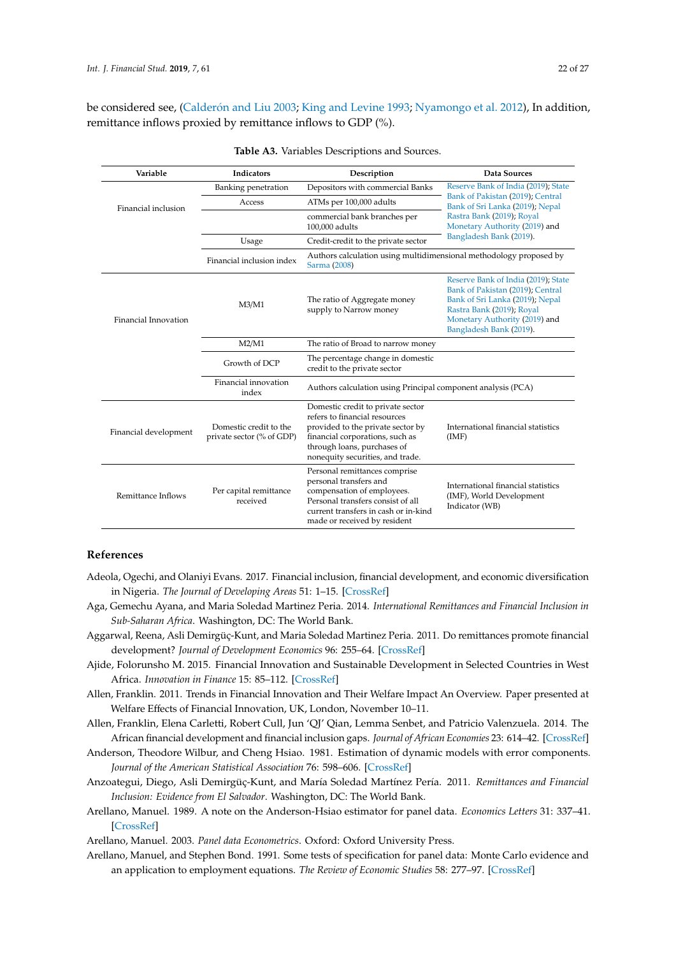be considered see, (Calderó[n and Liu](#page-22-1) [2003;](#page-22-1) [King and Levine](#page-24-23) [1993;](#page-24-23) [Nyamongo et al.](#page-25-25) [2012\)](#page-25-25), In addition, remittance inflows proxied by remittance inflows to GDP (%).

| Variable              | Indicators                                          | Description                                                                                                                                                                                                   | Data Sources                                                                                                                                                                                        |  |
|-----------------------|-----------------------------------------------------|---------------------------------------------------------------------------------------------------------------------------------------------------------------------------------------------------------------|-----------------------------------------------------------------------------------------------------------------------------------------------------------------------------------------------------|--|
| Financial inclusion   | Banking penetration                                 | Depositors with commercial Banks                                                                                                                                                                              | Reserve Bank of India (2019); State<br>Bank of Pakistan (2019); Central<br>Bank of Sri Lanka (2019); Nepal<br>Rastra Bank (2019); Royal<br>Monetary Authority (2019) and<br>Bangladesh Bank (2019). |  |
|                       | Access                                              | ATMs per 100,000 adults                                                                                                                                                                                       |                                                                                                                                                                                                     |  |
|                       |                                                     | commercial bank branches per<br>100,000 adults                                                                                                                                                                |                                                                                                                                                                                                     |  |
|                       | Usage                                               | Credit-credit to the private sector                                                                                                                                                                           |                                                                                                                                                                                                     |  |
|                       | Financial inclusion index                           | Authors calculation using multidimensional methodology proposed by<br>Sarma (2008)                                                                                                                            |                                                                                                                                                                                                     |  |
| Financial Innovation  | M3/M1                                               | The ratio of Aggregate money<br>supply to Narrow money                                                                                                                                                        | Reserve Bank of India (2019); State<br>Bank of Pakistan (2019); Central<br>Bank of Sri Lanka (2019); Nepal<br>Rastra Bank (2019); Royal<br>Monetary Authority (2019) and<br>Bangladesh Bank (2019). |  |
|                       | M2/M1                                               | The ratio of Broad to narrow money                                                                                                                                                                            |                                                                                                                                                                                                     |  |
|                       | Growth of DCP                                       | The percentage change in domestic<br>credit to the private sector                                                                                                                                             |                                                                                                                                                                                                     |  |
|                       | Financial innovation<br>index                       | Authors calculation using Principal component analysis (PCA)                                                                                                                                                  |                                                                                                                                                                                                     |  |
| Financial development | Domestic credit to the<br>private sector (% of GDP) | Domestic credit to private sector<br>refers to financial resources<br>provided to the private sector by<br>financial corporations, such as<br>through loans, purchases of<br>nonequity securities, and trade. | International financial statistics<br>(IMF)                                                                                                                                                         |  |
| Remittance Inflows    | Per capital remittance<br>received                  | Personal remittances comprise<br>personal transfers and<br>compensation of employees.<br>Personal transfers consist of all<br>current transfers in cash or in-kind<br>made or received by resident            | International financial statistics<br>(IMF), World Development<br>Indicator (WB)                                                                                                                    |  |

| Table A3. Variables Descriptions and Sources. |
|-----------------------------------------------|
|                                               |

#### **References**

- <span id="page-21-0"></span>Adeola, Ogechi, and Olaniyi Evans. 2017. Financial inclusion, financial development, and economic diversification in Nigeria. *The Journal of Developing Areas* 51: 1–15. [\[CrossRef\]](http://dx.doi.org/10.1353/jda.2017.0057)
- <span id="page-21-8"></span>Aga, Gemechu Ayana, and Maria Soledad Martinez Peria. 2014. *International Remittances and Financial Inclusion in Sub-Saharan Africa*. Washington, DC: The World Bank.
- <span id="page-21-9"></span>Aggarwal, Reena, Asli Demirgüç-Kunt, and Maria Soledad Martinez Peria. 2011. Do remittances promote financial development? *Journal of Development Economics* 96: 255–64. [\[CrossRef\]](http://dx.doi.org/10.1016/j.jdeveco.2010.10.005)
- <span id="page-21-7"></span>Ajide, Folorunsho M. 2015. Financial Innovation and Sustainable Development in Selected Countries in West Africa. *Innovation in Finance* 15: 85–112. [\[CrossRef\]](http://dx.doi.org/10.7341/20161234)
- <span id="page-21-1"></span>Allen, Franklin. 2011. Trends in Financial Innovation and Their Welfare Impact An Overview. Paper presented at Welfare Effects of Financial Innovation, UK, London, November 10–11.
- <span id="page-21-2"></span>Allen, Franklin, Elena Carletti, Robert Cull, Jun 'QJ' Qian, Lemma Senbet, and Patricio Valenzuela. 2014. The African financial development and financial inclusion gaps. *Journal of African Economies* 23: 614–42. [\[CrossRef\]](http://dx.doi.org/10.1093/jae/eju015)
- <span id="page-21-3"></span>Anderson, Theodore Wilbur, and Cheng Hsiao. 1981. Estimation of dynamic models with error components. *Journal of the American Statistical Association* 76: 598–606. [\[CrossRef\]](http://dx.doi.org/10.1080/01621459.1981.10477691)
- <span id="page-21-10"></span>Anzoategui, Diego, Asli Demirgüç-Kunt, and María Soledad Martínez Pería. 2011. *Remittances and Financial Inclusion: Evidence from El Salvador*. Washington, DC: The World Bank.
- <span id="page-21-4"></span>Arellano, Manuel. 1989. A note on the Anderson-Hsiao estimator for panel data. *Economics Letters* 31: 337–41. [\[CrossRef\]](http://dx.doi.org/10.1016/0165-1765(89)90025-6)
- <span id="page-21-6"></span>Arellano, Manuel. 2003. *Panel data Econometrics*. Oxford: Oxford University Press.
- <span id="page-21-5"></span>Arellano, Manuel, and Stephen Bond. 1991. Some tests of specification for panel data: Monte Carlo evidence and an application to employment equations. *The Review of Economic Studies* 58: 277–97. [\[CrossRef\]](http://dx.doi.org/10.2307/2297968)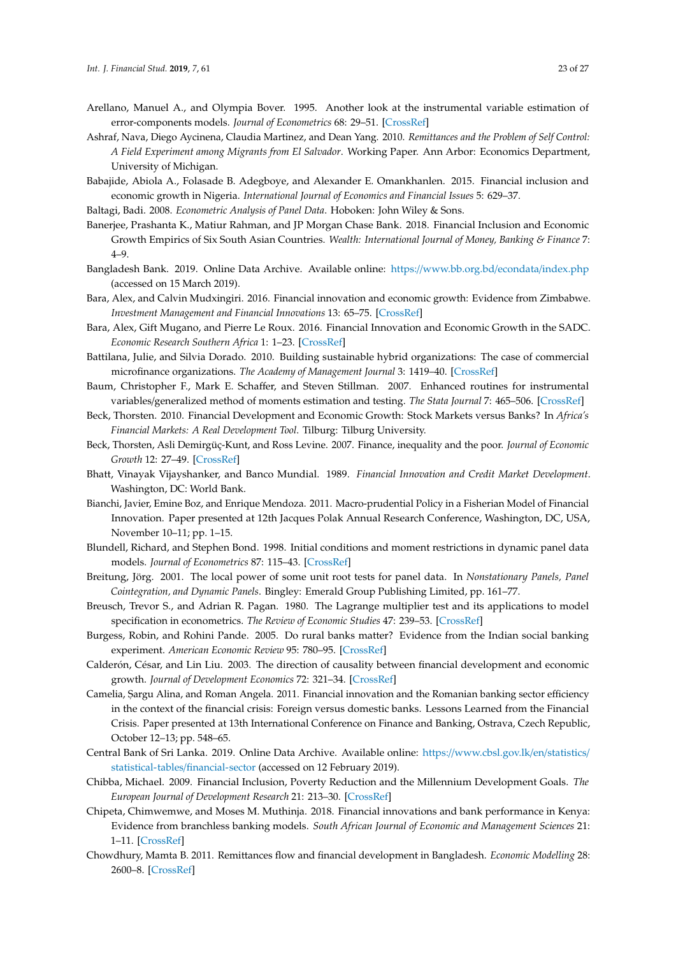- <span id="page-22-18"></span>Arellano, Manuel A., and Olympia Bover. 1995. Another look at the instrumental variable estimation of error-components models. *Journal of Econometrics* 68: 29–51. [\[CrossRef\]](http://dx.doi.org/10.1016/0304-4076(94)01642-D)
- <span id="page-22-2"></span>Ashraf, Nava, Diego Aycinena, Claudia Martinez, and Dean Yang. 2010. *Remittances and the Problem of Self Control: A Field Experiment among Migrants from El Salvador*. Working Paper. Ann Arbor: Economics Department, University of Michigan.
- <span id="page-22-3"></span>Babajide, Abiola A., Folasade B. Adegboye, and Alexander E. Omankhanlen. 2015. Financial inclusion and economic growth in Nigeria. *International Journal of Economics and Financial Issues* 5: 629–37.

<span id="page-22-20"></span><span id="page-22-11"></span>Baltagi, Badi. 2008. *Econometric Analysis of Panel Data*. Hoboken: John Wiley & Sons.

- Banerjee, Prashanta K., Matiur Rahman, and JP Morgan Chase Bank. 2018. Financial Inclusion and Economic Growth Empirics of Six South Asian Countries. *Wealth: International Journal of Money, Banking & Finance* 7: 4–9.
- <span id="page-22-16"></span>Bangladesh Bank. 2019. Online Data Archive. Available online: https://[www.bb.org.bd](https://www.bb.org.bd/econdata/index.php)/econdata/index.php (accessed on 15 March 2019).
- <span id="page-22-6"></span>Bara, Alex, and Calvin Mudxingiri. 2016. Financial innovation and economic growth: Evidence from Zimbabwe. *Investment Management and Financial Innovations* 13: 65–75. [\[CrossRef\]](http://dx.doi.org/10.21511/imfi.13(2).2016.07)
- <span id="page-22-5"></span>Bara, Alex, Gift Mugano, and Pierre Le Roux. 2016. Financial Innovation and Economic Growth in the SADC. *Economic Research Southern Africa* 1: 1–23. [\[CrossRef\]](http://dx.doi.org/10.1080/20421338.2016.1226705)
- <span id="page-22-8"></span>Battilana, Julie, and Silvia Dorado. 2010. Building sustainable hybrid organizations: The case of commercial microfinance organizations. *The Academy of Management Journal* 3: 1419–40. [\[CrossRef\]](http://dx.doi.org/10.5465/amj.2010.57318391)
- <span id="page-22-21"></span>Baum, Christopher F., Mark E. Schaffer, and Steven Stillman. 2007. Enhanced routines for instrumental variables/generalized method of moments estimation and testing. *The Stata Journal* 7: 465–506. [\[CrossRef\]](http://dx.doi.org/10.1177/1536867X0800700402)
- <span id="page-22-9"></span>Beck, Thorsten. 2010. Financial Development and Economic Growth: Stock Markets versus Banks? In *Africa's Financial Markets: A Real Development Tool*. Tilburg: Tilburg University.
- <span id="page-22-12"></span>Beck, Thorsten, Asli Demirgüç-Kunt, and Ross Levine. 2007. Finance, inequality and the poor. *Journal of Economic Growth* 12: 27–49. [\[CrossRef\]](http://dx.doi.org/10.1007/s10887-007-9010-6)
- <span id="page-22-7"></span>Bhatt, Vinayak Vijayshanker, and Banco Mundial. 1989. *Financial Innovation and Credit Market Development*. Washington, DC: World Bank.
- <span id="page-22-4"></span>Bianchi, Javier, Emine Boz, and Enrique Mendoza. 2011. Macro-prudential Policy in a Fisherian Model of Financial Innovation. Paper presented at 12th Jacques Polak Annual Research Conference, Washington, DC, USA, November 10–11; pp. 1–15.
- <span id="page-22-19"></span>Blundell, Richard, and Stephen Bond. 1998. Initial conditions and moment restrictions in dynamic panel data models. *Journal of Econometrics* 87: 115–43. [\[CrossRef\]](http://dx.doi.org/10.1016/S0304-4076(98)00009-8)
- <span id="page-22-22"></span>Breitung, Jörg. 2001. The local power of some unit root tests for panel data. In *Nonstationary Panels, Panel Cointegration, and Dynamic Panels*. Bingley: Emerald Group Publishing Limited, pp. 161–77.
- <span id="page-22-17"></span>Breusch, Trevor S., and Adrian R. Pagan. 1980. The Lagrange multiplier test and its applications to model specification in econometrics. *The Review of Economic Studies* 47: 239–53. [\[CrossRef\]](http://dx.doi.org/10.2307/2297111)
- <span id="page-22-13"></span>Burgess, Robin, and Rohini Pande. 2005. Do rural banks matter? Evidence from the Indian social banking experiment. *American Economic Review* 95: 780–95. [\[CrossRef\]](http://dx.doi.org/10.1257/0002828054201242)
- <span id="page-22-1"></span>Calderón, César, and Lin Liu. 2003. The direction of causality between financial development and economic growth. *Journal of Development Economics* 72: 321–34. [\[CrossRef\]](http://dx.doi.org/10.1016/S0304-3878(03)00079-8)
- <span id="page-22-10"></span>Camelia, Sargu Alina, and Roman Angela. 2011. Financial innovation and the Romanian banking sector efficiency in the context of the financial crisis: Foreign versus domestic banks. Lessons Learned from the Financial Crisis. Paper presented at 13th International Conference on Finance and Banking, Ostrava, Czech Republic, October 12–13; pp. 548–65.
- <span id="page-22-15"></span>Central Bank of Sri Lanka. 2019. Online Data Archive. Available online: https://[www.cbsl.gov.lk](https://www.cbsl.gov.lk/en/statistics/statistical-tables/financial-sector)/en/statistics/ [statistical-tables](https://www.cbsl.gov.lk/en/statistics/statistical-tables/financial-sector)/financial-sector (accessed on 12 February 2019).
- <span id="page-22-14"></span>Chibba, Michael. 2009. Financial Inclusion, Poverty Reduction and the Millennium Development Goals. *The European Journal of Development Research* 21: 213–30. [\[CrossRef\]](http://dx.doi.org/10.1057/ejdr.2008.17)
- <span id="page-22-0"></span>Chipeta, Chimwemwe, and Moses M. Muthinja. 2018. Financial innovations and bank performance in Kenya: Evidence from branchless banking models. *South African Journal of Economic and Management Sciences* 21: 1–11. [\[CrossRef\]](http://dx.doi.org/10.4102/sajems.v21i1.1681)
- <span id="page-22-23"></span>Chowdhury, Mamta B. 2011. Remittances flow and financial development in Bangladesh. *Economic Modelling* 28: 2600–8. [\[CrossRef\]](http://dx.doi.org/10.1016/j.econmod.2011.07.013)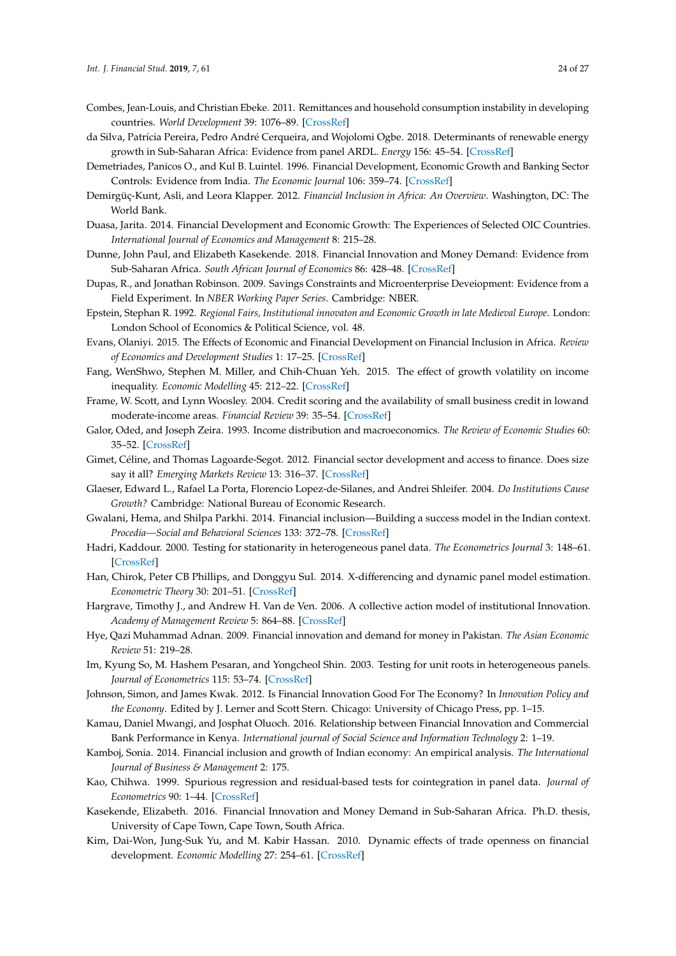- <span id="page-23-17"></span>Combes, Jean-Louis, and Christian Ebeke. 2011. Remittances and household consumption instability in developing countries. *World Development* 39: 1076–89. [\[CrossRef\]](http://dx.doi.org/10.1016/j.worlddev.2010.10.006)
- <span id="page-23-14"></span>da Silva, Patrícia Pereira, Pedro André Cerqueira, and Wojolomi Ogbe. 2018. Determinants of renewable energy growth in Sub-Saharan Africa: Evidence from panel ARDL. *Energy* 156: 45–54. [\[CrossRef\]](http://dx.doi.org/10.1016/j.energy.2018.05.068)
- <span id="page-23-0"></span>Demetriades, Panicos O., and Kul B. Luintel. 1996. Financial Development, Economic Growth and Banking Sector Controls: Evidence from India. *The Economic Journal* 106: 359–74. [\[CrossRef\]](http://dx.doi.org/10.2307/2235252)
- <span id="page-23-13"></span>Demirgüç-Kunt, Asli, and Leora Klapper. 2012. *Financial Inclusion in Africa: An Overview*. Washington, DC: The World Bank.
- <span id="page-23-3"></span>Duasa, Jarita. 2014. Financial Development and Economic Growth: The Experiences of Selected OIC Countries. *International Journal of Economics and Management* 8: 215–28.
- <span id="page-23-4"></span>Dunne, John Paul, and Elizabeth Kasekende. 2018. Financial Innovation and Money Demand: Evidence from Sub-Saharan Africa. *South African Journal of Economics* 86: 428–48. [\[CrossRef\]](http://dx.doi.org/10.1111/saje.12205)
- <span id="page-23-11"></span>Dupas, R., and Jonathan Robinson. 2009. Savings Constraints and Microenterprise Deveiopment: Evidence from a Field Experiment. In *NBER Working Paper Series*. Cambridge: NBER.
- <span id="page-23-8"></span>Epstein, Stephan R. 1992. *Regional Fairs, Institutional innovaton and Economic Growth in late Medieval Europe*. London: London School of Economics & Political Science, vol. 48.
- <span id="page-23-24"></span>Evans, Olaniyi. 2015. The Effects of Economic and Financial Development on Financial Inclusion in Africa. *Review of Economics and Development Studies* 1: 17–25. [\[CrossRef\]](http://dx.doi.org/10.26710/reads.v1i1.113)
- <span id="page-23-16"></span>Fang, WenShwo, Stephen M. Miller, and Chih-Chuan Yeh. 2015. The effect of growth volatility on income inequality. *Economic Modelling* 45: 212–22. [\[CrossRef\]](http://dx.doi.org/10.2139/ssrn.2121877)
- <span id="page-23-10"></span>Frame, W. Scott, and Lynn Woosley. 2004. Credit scoring and the availability of small business credit in lowand moderate-income areas. *Financial Review* 39: 35–54. [\[CrossRef\]](http://dx.doi.org/10.1111/j.0732-8516.2004.00066.x)
- <span id="page-23-12"></span>Galor, Oded, and Joseph Zeira. 1993. Income distribution and macroeconomics. *The Review of Economic Studies* 60: 35–52. [\[CrossRef\]](http://dx.doi.org/10.2307/2297811)
- <span id="page-23-25"></span>Gimet, Céline, and Thomas Lagoarde-Segot. 2012. Financial sector development and access to finance. Does size say it all? *Emerging Markets Review* 13: 316–37. [\[CrossRef\]](http://dx.doi.org/10.1016/j.ememar.2011.11.002)
- <span id="page-23-9"></span>Glaeser, Edward L., Rafael La Porta, Florencio Lopez-de-Silanes, and Andrei Shleifer. 2004. *Do Institutions Cause Growth?* Cambridge: National Bureau of Economic Research.
- <span id="page-23-23"></span>Gwalani, Hema, and Shilpa Parkhi. 2014. Financial inclusion—Building a success model in the Indian context. *Procedia—Social and Behavioral Sciences* 133: 372–78. [\[CrossRef\]](http://dx.doi.org/10.1016/j.sbspro.2014.04.203)
- <span id="page-23-20"></span>Hadri, Kaddour. 2000. Testing for stationarity in heterogeneous panel data. *The Econometrics Journal* 3: 148–61. [\[CrossRef\]](http://dx.doi.org/10.1111/1368-423X.00043)
- <span id="page-23-18"></span>Han, Chirok, Peter CB Phillips, and Donggyu Sul. 2014. X-differencing and dynamic panel model estimation. *Econometric Theory* 30: 201–51. [\[CrossRef\]](http://dx.doi.org/10.1017/S0266466613000170)
- <span id="page-23-7"></span>Hargrave, Timothy J., and Andrew H. Van de Ven. 2006. A collective action model of institutional Innovation. *Academy of Management Review* 5: 864–88. [\[CrossRef\]](http://dx.doi.org/10.5465/amr.2006.22527458)
- <span id="page-23-22"></span>Hye, Qazi Muhammad Adnan. 2009. Financial innovation and demand for money in Pakistan. *The Asian Economic Review* 51: 219–28.
- <span id="page-23-19"></span>Im, Kyung So, M. Hashem Pesaran, and Yongcheol Shin. 2003. Testing for unit roots in heterogeneous panels. *Journal of Econometrics* 115: 53–74. [\[CrossRef\]](http://dx.doi.org/10.1016/S0304-4076(03)00092-7)
- <span id="page-23-2"></span>Johnson, Simon, and James Kwak. 2012. Is Financial Innovation Good For The Economy? In *Innovation Policy and the Economy*. Edited by J. Lerner and Scott Stern. Chicago: University of Chicago Press, pp. 1–15.
- <span id="page-23-6"></span>Kamau, Daniel Mwangi, and Josphat Oluoch. 2016. Relationship between Financial Innovation and Commercial Bank Performance in Kenya. *International journal of Social Science and Information Technology* 2: 1–19.
- <span id="page-23-1"></span>Kamboj, Sonia. 2014. Financial inclusion and growth of Indian economy: An empirical analysis. *The International Journal of Business & Management* 2: 175.
- <span id="page-23-21"></span>Kao, Chihwa. 1999. Spurious regression and residual-based tests for cointegration in panel data. *Journal of Econometrics* 90: 1–44. [\[CrossRef\]](http://dx.doi.org/10.1016/S0304-4076(98)00023-2)
- <span id="page-23-5"></span>Kasekende, Elizabeth. 2016. Financial Innovation and Money Demand in Sub-Saharan Africa. Ph.D. thesis, University of Cape Town, Cape Town, South Africa.
- <span id="page-23-15"></span>Kim, Dai-Won, Jung-Suk Yu, and M. Kabir Hassan. 2010. Dynamic effects of trade openness on financial development. *Economic Modelling* 27: 254–61. [\[CrossRef\]](http://dx.doi.org/10.1016/j.econmod.2009.09.005)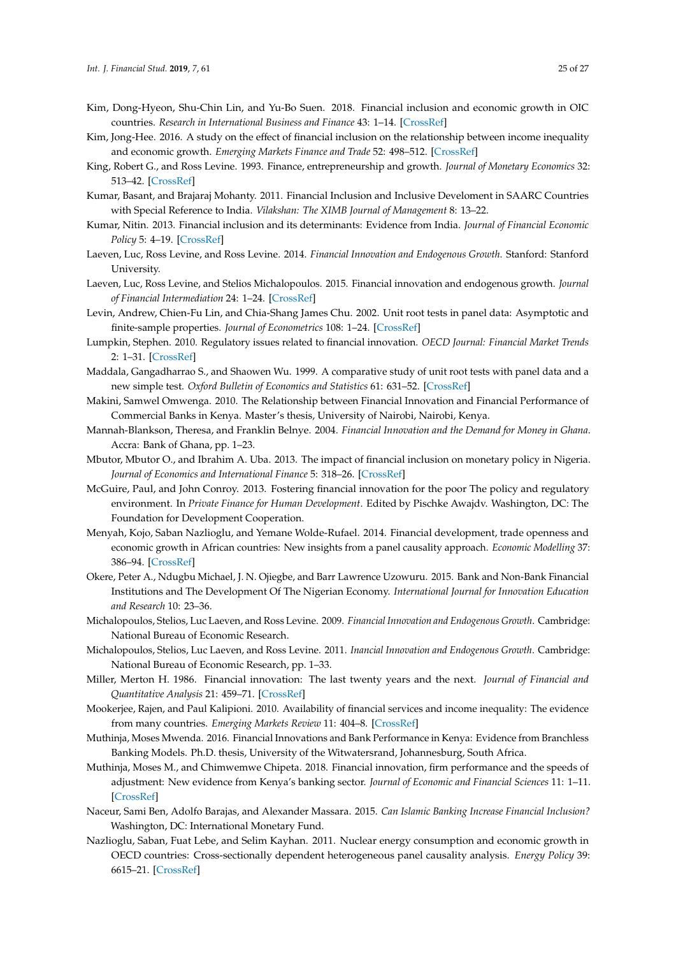- <span id="page-24-0"></span>Kim, Dong-Hyeon, Shu-Chin Lin, and Yu-Bo Suen. 2018. Financial inclusion and economic growth in OIC countries. *Research in International Business and Finance* 43: 1–14. [\[CrossRef\]](http://dx.doi.org/10.1016/j.ribaf.2017.07.178)
- <span id="page-24-14"></span>Kim, Jong-Hee. 2016. A study on the effect of financial inclusion on the relationship between income inequality and economic growth. *Emerging Markets Finance and Trade* 52: 498–512. [\[CrossRef\]](http://dx.doi.org/10.1080/1540496X.2016.1110467)
- <span id="page-24-23"></span>King, Robert G., and Ross Levine. 1993. Finance, entrepreneurship and growth. *Journal of Monetary Economics* 32: 513–42. [\[CrossRef\]](http://dx.doi.org/10.1016/0304-3932(93)90028-E)
- <span id="page-24-1"></span>Kumar, Basant, and Brajaraj Mohanty. 2011. Financial Inclusion and Inclusive Develoment in SAARC Countries with Special Reference to India. *Vilakshan: The XIMB Journal of Management* 8: 13–22.
- <span id="page-24-15"></span>Kumar, Nitin. 2013. Financial inclusion and its determinants: Evidence from India. *Journal of Financial Economic Policy* 5: 4–19. [\[CrossRef\]](http://dx.doi.org/10.1108/17576381311317754)
- <span id="page-24-7"></span>Laeven, Luc, Ross Levine, and Ross Levine. 2014. *Financial Innovation and Endogenous Growth*. Stanford: Stanford University.
- <span id="page-24-8"></span>Laeven, Luc, Ross Levine, and Stelios Michalopoulos. 2015. Financial innovation and endogenous growth. *Journal of Financial Intermediation* 24: 1–24. [\[CrossRef\]](http://dx.doi.org/10.1016/j.jfi.2014.04.001)
- <span id="page-24-18"></span>Levin, Andrew, Chien-Fu Lin, and Chia-Shang James Chu. 2002. Unit root tests in panel data: Asymptotic and finite-sample properties. *Journal of Econometrics* 108: 1–24. [\[CrossRef\]](http://dx.doi.org/10.1016/S0304-4076(01)00098-7)
- <span id="page-24-10"></span>Lumpkin, Stephen. 2010. Regulatory issues related to financial innovation. *OECD Journal: Financial Market Trends* 2: 1–31. [\[CrossRef\]](http://dx.doi.org/10.1787/fmt-v2009-art14-en)
- <span id="page-24-19"></span>Maddala, Gangadharrao S., and Shaowen Wu. 1999. A comparative study of unit root tests with panel data and a new simple test. *Oxford Bulletin of Economics and Statistics* 61: 631–52. [\[CrossRef\]](http://dx.doi.org/10.1111/1468-0084.61.s1.13)
- <span id="page-24-12"></span>Makini, Samwel Omwenga. 2010. The Relationship between Financial Innovation and Financial Performance of Commercial Banks in Kenya. Master's thesis, University of Nairobi, Nairobi, Kenya.
- <span id="page-24-20"></span>Mannah-Blankson, Theresa, and Franklin Belnye. 2004. *Financial Innovation and the Demand for Money in Ghana*. Accra: Bank of Ghana, pp. 1–23.
- <span id="page-24-22"></span>Mbutor, Mbutor O., and Ibrahim A. Uba. 2013. The impact of financial inclusion on monetary policy in Nigeria. *Journal of Economics and International Finance* 5: 318–26. [\[CrossRef\]](http://dx.doi.org/10.5897/JEIF2013.0541)
- <span id="page-24-5"></span>McGuire, Paul, and John Conroy. 2013. Fostering financial innovation for the poor The policy and regulatory environment. In *Private Finance for Human Development*. Edited by Pischke Awajdv. Washington, DC: The Foundation for Development Cooperation.
- <span id="page-24-17"></span>Menyah, Kojo, Saban Nazlioglu, and Yemane Wolde-Rufael. 2014. Financial development, trade openness and economic growth in African countries: New insights from a panel causality approach. *Economic Modelling* 37: 386–94. [\[CrossRef\]](http://dx.doi.org/10.1016/j.econmod.2013.11.044)
- <span id="page-24-3"></span>Okere, Peter A., Ndugbu Michael, J. N. Ojiegbe, and Barr Lawrence Uzowuru. 2015. Bank and Non-Bank Financial Institutions and The Development Of The Nigerian Economy. *International Journal for Innovation Education and Research* 10: 23–36.
- <span id="page-24-9"></span>Michalopoulos, Stelios, Luc Laeven, and Ross Levine. 2009. *Financial Innovation and Endogenous Growth*. Cambridge: National Bureau of Economic Research.
- <span id="page-24-2"></span>Michalopoulos, Stelios, Luc Laeven, and Ross Levine. 2011. *Inancial Innovation and Endogenous Growth*. Cambridge: National Bureau of Economic Research, pp. 1–33.
- <span id="page-24-6"></span>Miller, Merton H. 1986. Financial innovation: The last twenty years and the next. *Journal of Financial and Quantitative Analysis* 21: 459–71. [\[CrossRef\]](http://dx.doi.org/10.2307/2330693)
- <span id="page-24-13"></span>Mookerjee, Rajen, and Paul Kalipioni. 2010. Availability of financial services and income inequality: The evidence from many countries. *Emerging Markets Review* 11: 404–8. [\[CrossRef\]](http://dx.doi.org/10.1016/j.ememar.2010.07.001)
- <span id="page-24-11"></span>Muthinja, Moses Mwenda. 2016. Financial Innovations and Bank Performance in Kenya: Evidence from Branchless Banking Models. Ph.D. thesis, University of the Witwatersrand, Johannesburg, South Africa.
- <span id="page-24-4"></span>Muthinja, Moses M., and Chimwemwe Chipeta. 2018. Financial innovation, firm performance and the speeds of adjustment: New evidence from Kenya's banking sector. *Journal of Economic and Financial Sciences* 11: 1–11. [\[CrossRef\]](http://dx.doi.org/10.4102/jef.v11i1.158)
- <span id="page-24-21"></span>Naceur, Sami Ben, Adolfo Barajas, and Alexander Massara. 2015. *Can Islamic Banking Increase Financial Inclusion?* Washington, DC: International Monetary Fund.
- <span id="page-24-16"></span>Nazlioglu, Saban, Fuat Lebe, and Selim Kayhan. 2011. Nuclear energy consumption and economic growth in OECD countries: Cross-sectionally dependent heterogeneous panel causality analysis. *Energy Policy* 39: 6615–21. [\[CrossRef\]](http://dx.doi.org/10.1016/j.enpol.2011.08.007)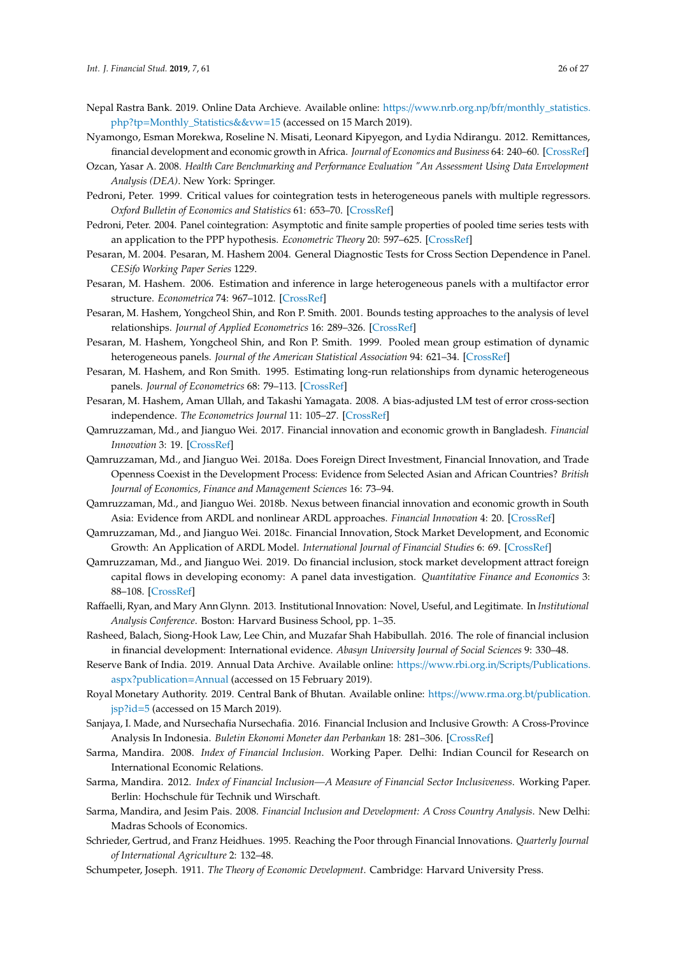- <span id="page-25-13"></span>Nepal Rastra Bank. 2019. Online Data Archieve. Available online: https://www.nrb.org.np/bfr/[monthly\\_statistics.](https://www.nrb.org.np/bfr/monthly_statistics.php?tp=Monthly_Statistics&&vw=15) php?tp=[Monthly\\_Statistics&&vw](https://www.nrb.org.np/bfr/monthly_statistics.php?tp=Monthly_Statistics&&vw=15)=15 (accessed on 15 March 2019).
- <span id="page-25-25"></span>Nyamongo, Esman Morekwa, Roseline N. Misati, Leonard Kipyegon, and Lydia Ndirangu. 2012. Remittances, financial development and economic growth in Africa. *Journal of Economics and Business* 64: 240–60. [\[CrossRef\]](http://dx.doi.org/10.1016/j.jeconbus.2012.01.001)
- <span id="page-25-7"></span>Ozcan, Yasar A. 2008. *Health Care Benchmarking and Performance Evaluation "An Assessment Using Data Envelopment Analysis (DEA)*. New York: Springer.
- <span id="page-25-22"></span>Pedroni, Peter. 1999. Critical values for cointegration tests in heterogeneous panels with multiple regressors. *Oxford Bulletin of Economics and Statistics* 61: 653–70. [\[CrossRef\]](http://dx.doi.org/10.1111/1468-0084.61.s1.14)
- <span id="page-25-23"></span>Pedroni, Peter. 2004. Panel cointegration: Asymptotic and finite sample properties of pooled time series tests with an application to the PPP hypothesis. *Econometric Theory* 20: 597–625. [\[CrossRef\]](http://dx.doi.org/10.1017/S0266466604203073)
- <span id="page-25-16"></span>Pesaran, M. 2004. Pesaran, M. Hashem 2004. General Diagnostic Tests for Cross Section Dependence in Panel. *CESifo Working Paper Series* 1229.
- <span id="page-25-17"></span>Pesaran, M. Hashem. 2006. Estimation and inference in large heterogeneous panels with a multifactor error structure. *Econometrica* 74: 967–1012. [\[CrossRef\]](http://dx.doi.org/10.1111/j.1468-0262.2006.00692.x)
- <span id="page-25-21"></span>Pesaran, M. Hashem, Yongcheol Shin, and Ron P. Smith. 2001. Bounds testing approaches to the analysis of level relationships. *Journal of Applied Econometrics* 16: 289–326. [\[CrossRef\]](http://dx.doi.org/10.1002/jae.616)
- <span id="page-25-20"></span>Pesaran, M. Hashem, Yongcheol Shin, and Ron P. Smith. 1999. Pooled mean group estimation of dynamic heterogeneous panels. *Journal of the American Statistical Association* 94: 621–34. [\[CrossRef\]](http://dx.doi.org/10.1080/01621459.1999.10474156)
- <span id="page-25-19"></span>Pesaran, M. Hashem, and Ron Smith. 1995. Estimating long-run relationships from dynamic heterogeneous panels. *Journal of Econometrics* 68: 79–113. [\[CrossRef\]](http://dx.doi.org/10.1016/0304-4076(94)01644-F)
- <span id="page-25-18"></span>Pesaran, M. Hashem, Aman Ullah, and Takashi Yamagata. 2008. A bias-adjusted LM test of error cross-section independence. *The Econometrics Journal* 11: 105–27. [\[CrossRef\]](http://dx.doi.org/10.1111/j.1368-423X.2007.00227.x)
- <span id="page-25-3"></span>Qamruzzaman, Md., and Jianguo Wei. 2017. Financial innovation and economic growth in Bangladesh. *Financial Innovation* 3: 19. [\[CrossRef\]](http://dx.doi.org/10.1186/s40854-017-0070-0)
- <span id="page-25-9"></span>Qamruzzaman, Md., and Jianguo Wei. 2018a. Does Foreign Direct Investment, Financial Innovation, and Trade Openness Coexist in the Development Process: Evidence from Selected Asian and African Countries? *British Journal of Economics, Finance and Management Sciences* 16: 73–94.
- <span id="page-25-4"></span>Qamruzzaman, Md., and Jianguo Wei. 2018b. Nexus between financial innovation and economic growth in South Asia: Evidence from ARDL and nonlinear ARDL approaches. *Financial Innovation* 4: 20. [\[CrossRef\]](http://dx.doi.org/10.1186/s40854-018-0103-3)
- <span id="page-25-5"></span>Qamruzzaman, Md., and Jianguo Wei. 2018c. Financial Innovation, Stock Market Development, and Economic Growth: An Application of ARDL Model. *International Journal of Financial Studies* 6: 69. [\[CrossRef\]](http://dx.doi.org/10.3390/ijfs6030069)
- <span id="page-25-11"></span>Qamruzzaman, Md., and Jianguo Wei. 2019. Do financial inclusion, stock market development attract foreign capital flows in developing economy: A panel data investigation. *Quantitative Finance and Economics* 3: 88–108. [\[CrossRef\]](http://dx.doi.org/10.3934/QFE.2019.1.88)
- <span id="page-25-8"></span>Raffaelli, Ryan, and Mary Ann Glynn. 2013. Institutional Innovation: Novel, Useful, and Legitimate. In *Institutional Analysis Conference*. Boston: Harvard Business School, pp. 1–35.
- <span id="page-25-10"></span>Rasheed, Balach, Siong-Hook Law, Lee Chin, and Muzafar Shah Habibullah. 2016. The role of financial inclusion in financial development: International evidence. *Abasyn University Journal of Social Sciences* 9: 330–48.
- <span id="page-25-12"></span>Reserve Bank of India. 2019. Annual Data Archive. Available online: https://[www.rbi.org.in](https://www.rbi.org.in/Scripts/Publications.aspx?publication=Annual)/Scripts/Publications. [aspx?publication](https://www.rbi.org.in/Scripts/Publications.aspx?publication=Annual)=Annual (accessed on 15 February 2019).
- <span id="page-25-14"></span>Royal Monetary Authority. 2019. Central Bank of Bhutan. Available online: https://[www.rma.org.bt](https://www.rma.org.bt/publication.jsp?id=5)/publication. [jsp?id](https://www.rma.org.bt/publication.jsp?id=5)=5 (accessed on 15 March 2019).
- <span id="page-25-1"></span>Sanjaya, I. Made, and Nursechafia Nursechafia. 2016. Financial Inclusion and Inclusive Growth: A Cross-Province Analysis In Indonesia. *Buletin Ekonomi Moneter dan Perbankan* 18: 281–306. [\[CrossRef\]](http://dx.doi.org/10.21098/bemp.v18i3.551)
- <span id="page-25-15"></span>Sarma, Mandira. 2008. *Index of Financial Inclusion*. Working Paper. Delhi: Indian Council for Research on International Economic Relations.
- <span id="page-25-24"></span>Sarma, Mandira. 2012. *Index of Financial Inclusion—A Measure of Financial Sector Inclusiveness*. Working Paper. Berlin: Hochschule für Technik und Wirschaft.
- <span id="page-25-0"></span>Sarma, Mandira, and Jesim Pais. 2008. *Financial Inclusion and Development: A Cross Country Analysis*. New Delhi: Madras Schools of Economics.
- <span id="page-25-6"></span>Schrieder, Gertrud, and Franz Heidhues. 1995. Reaching the Poor through Financial Innovations. *Quarterly Journal of International Agriculture* 2: 132–48.
- <span id="page-25-2"></span>Schumpeter, Joseph. 1911. *The Theory of Economic Development*. Cambridge: Harvard University Press.